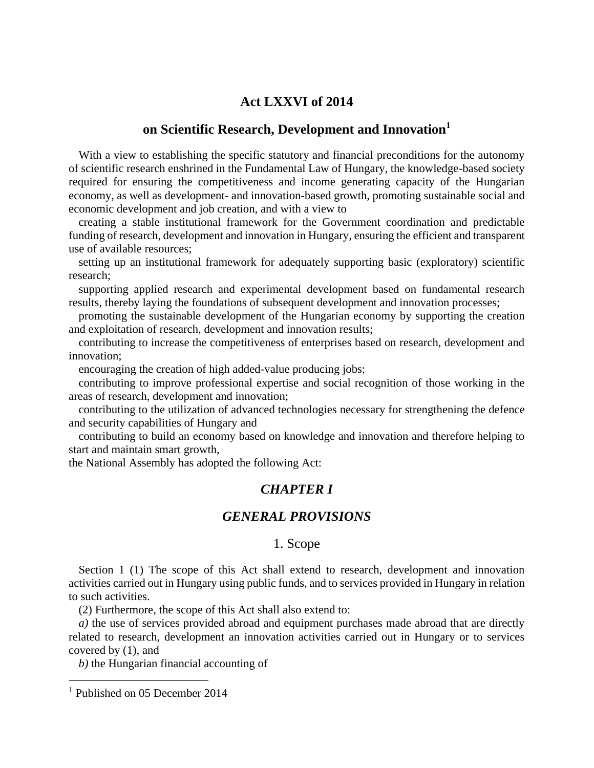#### **Act LXXVI of 2014**

#### **on Scientific Research, Development and Innovation<sup>1</sup>**

With a view to establishing the specific statutory and financial preconditions for the autonomy of scientific research enshrined in the Fundamental Law of Hungary, the knowledge-based society required for ensuring the competitiveness and income generating capacity of the Hungarian economy, as well as development- and innovation-based growth, promoting sustainable social and economic development and job creation, and with a view to

creating a stable institutional framework for the Government coordination and predictable funding of research, development and innovation in Hungary, ensuring the efficient and transparent use of available resources;

setting up an institutional framework for adequately supporting basic (exploratory) scientific research;

supporting applied research and experimental development based on fundamental research results, thereby laying the foundations of subsequent development and innovation processes;

promoting the sustainable development of the Hungarian economy by supporting the creation and exploitation of research, development and innovation results;

contributing to increase the competitiveness of enterprises based on research, development and innovation;

encouraging the creation of high added-value producing jobs;

contributing to improve professional expertise and social recognition of those working in the areas of research, development and innovation;

contributing to the utilization of advanced technologies necessary for strengthening the defence and security capabilities of Hungary and

contributing to build an economy based on knowledge and innovation and therefore helping to start and maintain smart growth,

the National Assembly has adopted the following Act:

### *CHAPTER I*

## *GENERAL PROVISIONS*

#### 1. Scope

Section 1 (1) The scope of this Act shall extend to research, development and innovation activities carried out in Hungary using public funds, and to services provided in Hungary in relation to such activities.

(2) Furthermore, the scope of this Act shall also extend to:

*a)* the use of services provided abroad and equipment purchases made abroad that are directly related to research, development an innovation activities carried out in Hungary or to services covered by (1), and

*b)* the Hungarian financial accounting of

<sup>&</sup>lt;sup>1</sup> Published on 05 December 2014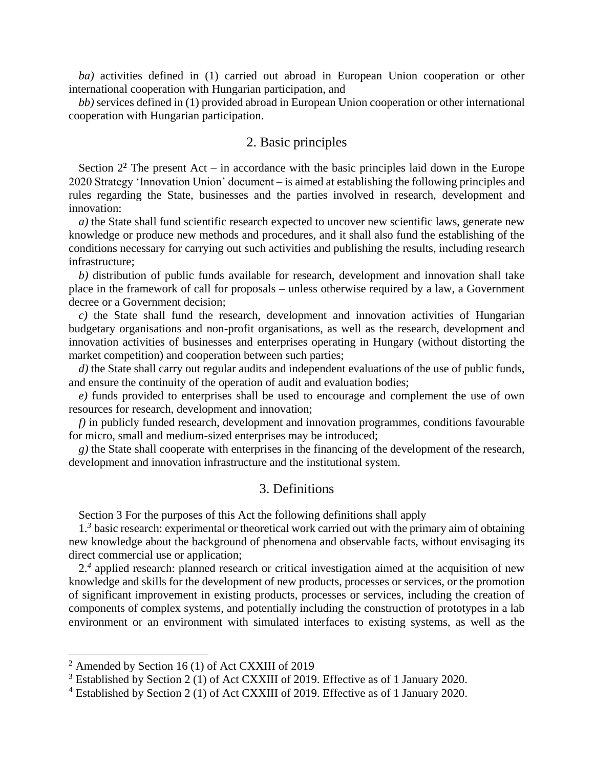*ba)* activities defined in (1) carried out abroad in European Union cooperation or other international cooperation with Hungarian participation, and

*bb)* services defined in (1) provided abroad in European Union cooperation or other international cooperation with Hungarian participation.

#### 2. Basic principles

Section  $2<sup>2</sup>$  The present Act – in accordance with the basic principles laid down in the Europe 2020 Strategy 'Innovation Union' document – is aimed at establishing the following principles and rules regarding the State, businesses and the parties involved in research, development and innovation:

*a)* the State shall fund scientific research expected to uncover new scientific laws, generate new knowledge or produce new methods and procedures, and it shall also fund the establishing of the conditions necessary for carrying out such activities and publishing the results, including research infrastructure;

*b)* distribution of public funds available for research, development and innovation shall take place in the framework of call for proposals – unless otherwise required by a law, a Government decree or a Government decision;

*c)* the State shall fund the research, development and innovation activities of Hungarian budgetary organisations and non-profit organisations, as well as the research, development and innovation activities of businesses and enterprises operating in Hungary (without distorting the market competition) and cooperation between such parties;

*d)* the State shall carry out regular audits and independent evaluations of the use of public funds, and ensure the continuity of the operation of audit and evaluation bodies;

*e)* funds provided to enterprises shall be used to encourage and complement the use of own resources for research, development and innovation;

*f)* in publicly funded research, development and innovation programmes, conditions favourable for micro, small and medium-sized enterprises may be introduced;

*g)* the State shall cooperate with enterprises in the financing of the development of the research, development and innovation infrastructure and the institutional system.

#### 3. Definitions

Section 3 For the purposes of this Act the following definitions shall apply

1<sup>3</sup> basic research: experimental or theoretical work carried out with the primary aim of obtaining new knowledge about the background of phenomena and observable facts, without envisaging its direct commercial use or application;

2.<sup>4</sup> applied research: planned research or critical investigation aimed at the acquisition of new knowledge and skills for the development of new products, processes or services, or the promotion of significant improvement in existing products, processes or services, including the creation of components of complex systems, and potentially including the construction of prototypes in a lab environment or an environment with simulated interfaces to existing systems, as well as the

 $2$  Amended by Section 16 (1) of Act CXXIII of 2019

<sup>3</sup> Established by Section 2 (1) of Act CXXIII of 2019. Effective as of 1 January 2020.

<sup>4</sup> Established by Section 2 (1) of Act CXXIII of 2019. Effective as of 1 January 2020.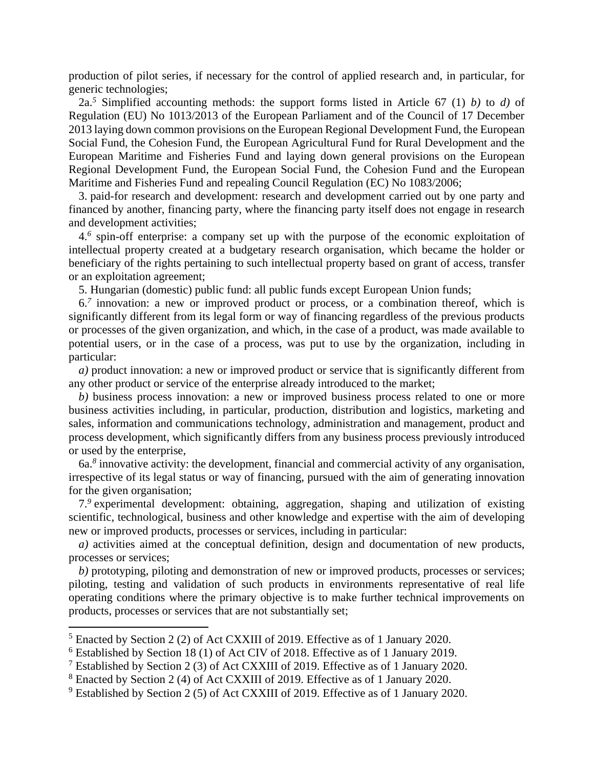production of pilot series, if necessary for the control of applied research and, in particular, for generic technologies;

2a.*<sup>5</sup>* Simplified accounting methods: the support forms listed in Article 67 (1) *b)* to *d)* of Regulation (EU) No 1013/2013 of the European Parliament and of the Council of 17 December 2013 laying down common provisions on the European Regional Development Fund, the European Social Fund, the Cohesion Fund, the European Agricultural Fund for Rural Development and the European Maritime and Fisheries Fund and laying down general provisions on the European Regional Development Fund, the European Social Fund, the Cohesion Fund and the European Maritime and Fisheries Fund and repealing Council Regulation (EC) No 1083/2006;

3. paid-for research and development: research and development carried out by one party and financed by another, financing party, where the financing party itself does not engage in research and development activities;

4.*<sup>6</sup>* spin-off enterprise: a company set up with the purpose of the economic exploitation of intellectual property created at a budgetary research organisation, which became the holder or beneficiary of the rights pertaining to such intellectual property based on grant of access, transfer or an exploitation agreement;

5. Hungarian (domestic) public fund: all public funds except European Union funds;

6.*<sup>7</sup>* innovation: a new or improved product or process, or a combination thereof, which is significantly different from its legal form or way of financing regardless of the previous products or processes of the given organization, and which, in the case of a product, was made available to potential users, or in the case of a process, was put to use by the organization, including in particular:

*a)* product innovation: a new or improved product or service that is significantly different from any other product or service of the enterprise already introduced to the market;

*b)* business process innovation: a new or improved business process related to one or more business activities including, in particular, production, distribution and logistics, marketing and sales, information and communications technology, administration and management, product and process development, which significantly differs from any business process previously introduced or used by the enterprise,

6a.*<sup>8</sup>* innovative activity: the development, financial and commercial activity of any organisation, irrespective of its legal status or way of financing, pursued with the aim of generating innovation for the given organisation;

7.*<sup>9</sup>* experimental development: obtaining, aggregation, shaping and utilization of existing scientific, technological, business and other knowledge and expertise with the aim of developing new or improved products, processes or services, including in particular:

*a)* activities aimed at the conceptual definition, design and documentation of new products, processes or services;

*b)* prototyping, piloting and demonstration of new or improved products, processes or services; piloting, testing and validation of such products in environments representative of real life operating conditions where the primary objective is to make further technical improvements on products, processes or services that are not substantially set;

<sup>5</sup> Enacted by Section 2 (2) of Act CXXIII of 2019. Effective as of 1 January 2020.

<sup>6</sup> Established by Section 18 (1) of Act CIV of 2018. Effective as of 1 January 2019.

<sup>7</sup> Established by Section 2 (3) of Act CXXIII of 2019. Effective as of 1 January 2020.

<sup>8</sup> Enacted by Section 2 (4) of Act CXXIII of 2019. Effective as of 1 January 2020.

<sup>9</sup> Established by Section 2 (5) of Act CXXIII of 2019. Effective as of 1 January 2020.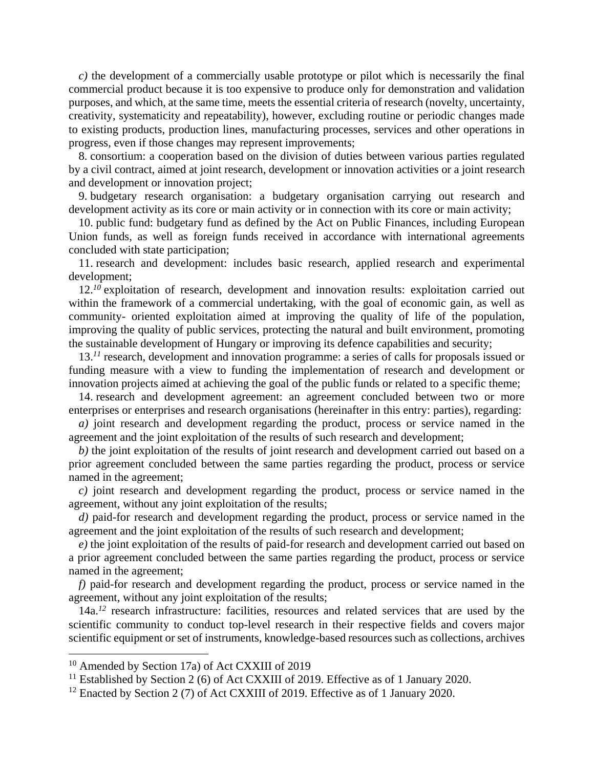*c)* the development of a commercially usable prototype or pilot which is necessarily the final commercial product because it is too expensive to produce only for demonstration and validation purposes, and which, at the same time, meets the essential criteria of research (novelty, uncertainty, creativity, systematicity and repeatability), however, excluding routine or periodic changes made to existing products, production lines, manufacturing processes, services and other operations in progress, even if those changes may represent improvements;

8. consortium: a cooperation based on the division of duties between various parties regulated by a civil contract, aimed at joint research, development or innovation activities or a joint research and development or innovation project;

9. budgetary research organisation: a budgetary organisation carrying out research and development activity as its core or main activity or in connection with its core or main activity;

10. public fund: budgetary fund as defined by the Act on Public Finances, including European Union funds, as well as foreign funds received in accordance with international agreements concluded with state participation;

11. research and development: includes basic research, applied research and experimental development;

12.*<sup>10</sup>* exploitation of research, development and innovation results: exploitation carried out within the framework of a commercial undertaking, with the goal of economic gain, as well as community- oriented exploitation aimed at improving the quality of life of the population, improving the quality of public services, protecting the natural and built environment, promoting the sustainable development of Hungary or improving its defence capabilities and security;

13.<sup>11</sup> research, development and innovation programme: a series of calls for proposals issued or funding measure with a view to funding the implementation of research and development or innovation projects aimed at achieving the goal of the public funds or related to a specific theme;

14. research and development agreement: an agreement concluded between two or more enterprises or enterprises and research organisations (hereinafter in this entry: parties), regarding:

*a)* joint research and development regarding the product, process or service named in the agreement and the joint exploitation of the results of such research and development;

*b)* the joint exploitation of the results of joint research and development carried out based on a prior agreement concluded between the same parties regarding the product, process or service named in the agreement;

*c)* joint research and development regarding the product, process or service named in the agreement, without any joint exploitation of the results;

*d)* paid-for research and development regarding the product, process or service named in the agreement and the joint exploitation of the results of such research and development;

*e)* the joint exploitation of the results of paid-for research and development carried out based on a prior agreement concluded between the same parties regarding the product, process or service named in the agreement;

*f)* paid-for research and development regarding the product, process or service named in the agreement, without any joint exploitation of the results;

14a.<sup>12</sup> research infrastructure: facilities, resources and related services that are used by the scientific community to conduct top-level research in their respective fields and covers major scientific equipment or set of instruments, knowledge-based resources such as collections, archives

<sup>10</sup> Amended by Section 17a) of Act CXXIII of 2019

<sup>&</sup>lt;sup>11</sup> Established by Section 2 (6) of Act CXXIII of 2019. Effective as of 1 January 2020.

<sup>&</sup>lt;sup>12</sup> Enacted by Section 2 (7) of Act CXXIII of 2019. Effective as of 1 January 2020.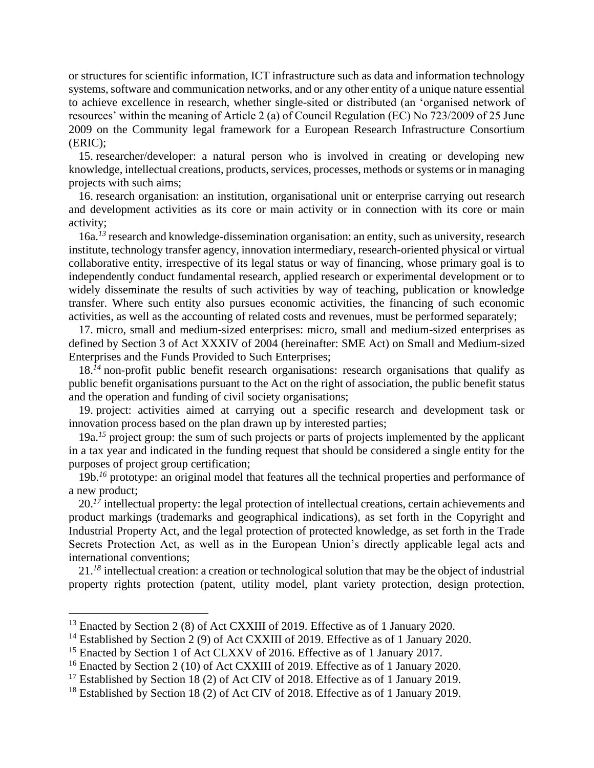or structures for scientific information, ICT infrastructure such as data and information technology systems, software and communication networks, and or any other entity of a unique nature essential to achieve excellence in research, whether single-sited or distributed (an 'organised network of resources' within the meaning of Article 2 (a) of Council Regulation (EC) No 723/2009 of 25 June 2009 on the Community legal framework for a European Research Infrastructure Consortium (ERIC);

15. researcher/developer: a natural person who is involved in creating or developing new knowledge, intellectual creations, products, services, processes, methods or systems or in managing projects with such aims;

16. research organisation: an institution, organisational unit or enterprise carrying out research and development activities as its core or main activity or in connection with its core or main activity;

16a.*<sup>13</sup>* research and knowledge-dissemination organisation: an entity, such as university, research institute, technology transfer agency, innovation intermediary, research-oriented physical or virtual collaborative entity, irrespective of its legal status or way of financing, whose primary goal is to independently conduct fundamental research, applied research or experimental development or to widely disseminate the results of such activities by way of teaching, publication or knowledge transfer. Where such entity also pursues economic activities, the financing of such economic activities, as well as the accounting of related costs and revenues, must be performed separately;

17. micro, small and medium-sized enterprises: micro, small and medium-sized enterprises as defined by Section 3 of Act XXXIV of 2004 (hereinafter: SME Act) on Small and Medium-sized Enterprises and the Funds Provided to Such Enterprises;

18.<sup>14</sup> non-profit public benefit research organisations: research organisations that qualify as public benefit organisations pursuant to the Act on the right of association, the public benefit status and the operation and funding of civil society organisations;

19. project: activities aimed at carrying out a specific research and development task or innovation process based on the plan drawn up by interested parties;

19a.<sup>15</sup> project group: the sum of such projects or parts of projects implemented by the applicant in a tax year and indicated in the funding request that should be considered a single entity for the purposes of project group certification;

19b.*<sup>16</sup>* prototype: an original model that features all the technical properties and performance of a new product;

20.<sup>17</sup> intellectual property: the legal protection of intellectual creations, certain achievements and product markings (trademarks and geographical indications), as set forth in the Copyright and Industrial Property Act, and the legal protection of protected knowledge, as set forth in the Trade Secrets Protection Act, as well as in the European Union's directly applicable legal acts and international conventions;

21.*<sup>18</sup>* intellectual creation: a creation or technological solution that may be the object of industrial property rights protection (patent, utility model, plant variety protection, design protection,

<sup>&</sup>lt;sup>13</sup> Enacted by Section 2 (8) of Act CXXIII of 2019. Effective as of 1 January 2020.

<sup>&</sup>lt;sup>14</sup> Established by Section 2 (9) of Act CXXIII of 2019. Effective as of 1 January 2020.

<sup>&</sup>lt;sup>15</sup> Enacted by Section 1 of Act CLXXV of 2016. Effective as of 1 January 2017.

<sup>&</sup>lt;sup>16</sup> Enacted by Section 2 (10) of Act CXXIII of 2019. Effective as of 1 January 2020.

<sup>&</sup>lt;sup>17</sup> Established by Section 18 (2) of Act CIV of 2018. Effective as of 1 January 2019.

<sup>&</sup>lt;sup>18</sup> Established by Section 18 (2) of Act CIV of 2018. Effective as of 1 January 2019.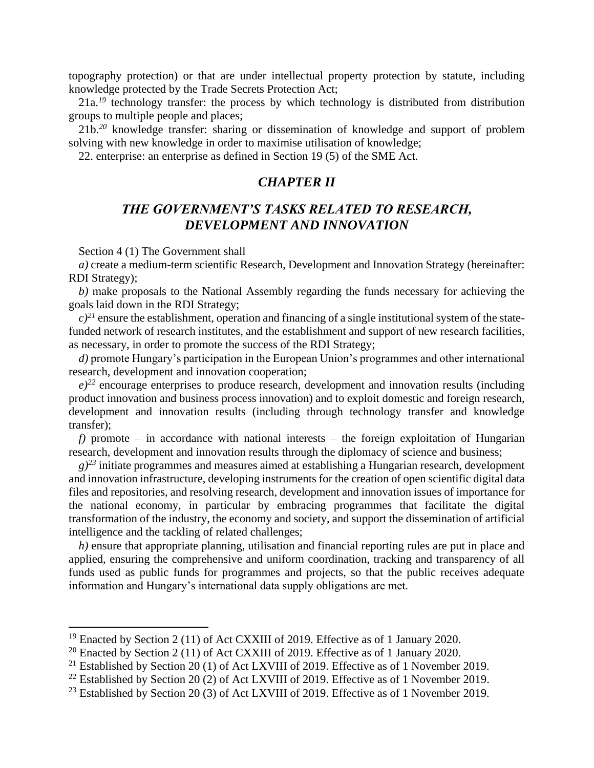topography protection) or that are under intellectual property protection by statute, including knowledge protected by the Trade Secrets Protection Act;

21a.<sup>19</sup> technology transfer: the process by which technology is distributed from distribution groups to multiple people and places;

21b.*<sup>20</sup>* knowledge transfer: sharing or dissemination of knowledge and support of problem solving with new knowledge in order to maximise utilisation of knowledge;

22. enterprise: an enterprise as defined in Section 19 (5) of the SME Act.

#### *CHAPTER II*

## *THE GOVERNMENT'S TASKS RELATED TO RESEARCH, DEVELOPMENT AND INNOVATION*

Section 4 (1) The Government shall

 $\overline{a}$ 

*a)* create a medium-term scientific Research, Development and Innovation Strategy (hereinafter: RDI Strategy);

*b)* make proposals to the National Assembly regarding the funds necessary for achieving the goals laid down in the RDI Strategy;

 $c)^{21}$  ensure the establishment, operation and financing of a single institutional system of the statefunded network of research institutes, and the establishment and support of new research facilities, as necessary, in order to promote the success of the RDI Strategy;

*d)* promote Hungary's participation in the European Union's programmes and other international research, development and innovation cooperation;

 $e^{i\omega}$  encourage enterprises to produce research, development and innovation results (including product innovation and business process innovation) and to exploit domestic and foreign research, development and innovation results (including through technology transfer and knowledge transfer);

 $f$ ) promote – in accordance with national interests – the foreign exploitation of Hungarian research, development and innovation results through the diplomacy of science and business;

 $g^{23}$  initiate programmes and measures aimed at establishing a Hungarian research, development and innovation infrastructure, developing instruments for the creation of open scientific digital data files and repositories, and resolving research, development and innovation issues of importance for the national economy, in particular by embracing programmes that facilitate the digital transformation of the industry, the economy and society, and support the dissemination of artificial intelligence and the tackling of related challenges;

*h)* ensure that appropriate planning, utilisation and financial reporting rules are put in place and applied, ensuring the comprehensive and uniform coordination, tracking and transparency of all funds used as public funds for programmes and projects, so that the public receives adequate information and Hungary's international data supply obligations are met.

<sup>&</sup>lt;sup>19</sup> Enacted by Section 2 (11) of Act CXXIII of 2019. Effective as of 1 January 2020.

<sup>&</sup>lt;sup>20</sup> Enacted by Section 2 (11) of Act CXXIII of 2019. Effective as of 1 January 2020.

<sup>&</sup>lt;sup>21</sup> Established by Section 20 (1) of Act LXVIII of 2019. Effective as of 1 November 2019.

<sup>&</sup>lt;sup>22</sup> Established by Section 20 (2) of Act LXVIII of 2019. Effective as of 1 November 2019.

<sup>&</sup>lt;sup>23</sup> Established by Section 20 (3) of Act LXVIII of 2019. Effective as of 1 November 2019.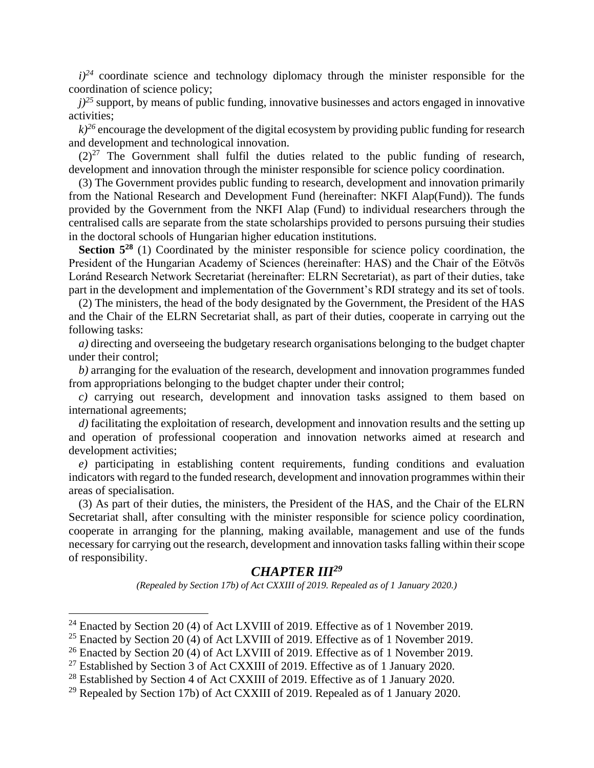$i^{24}$  coordinate science and technology diplomacy through the minister responsible for the coordination of science policy;

 $j$ <sup>25</sup> support, by means of public funding, innovative businesses and actors engaged in innovative activities;

 $k$ <sup>26</sup> encourage the development of the digital ecosystem by providing public funding for research and development and technological innovation.

 $(2)^{27}$  The Government shall fulfil the duties related to the public funding of research, development and innovation through the minister responsible for science policy coordination.

(3) The Government provides public funding to research, development and innovation primarily from the National Research and Development Fund (hereinafter: NKFI Alap(Fund)). The funds provided by the Government from the NKFI Alap (Fund) to individual researchers through the centralised calls are separate from the state scholarships provided to persons pursuing their studies in the doctoral schools of Hungarian higher education institutions.

**Section 5<sup>28</sup>** (1) Coordinated by the minister responsible for science policy coordination, the President of the Hungarian Academy of Sciences (hereinafter: HAS) and the Chair of the Eötvös Loránd Research Network Secretariat (hereinafter: ELRN Secretariat), as part of their duties, take part in the development and implementation of the Government's RDI strategy and its set of tools.

(2) The ministers, the head of the body designated by the Government, the President of the HAS and the Chair of the ELRN Secretariat shall, as part of their duties, cooperate in carrying out the following tasks:

*a)* directing and overseeing the budgetary research organisations belonging to the budget chapter under their control;

*b)* arranging for the evaluation of the research, development and innovation programmes funded from appropriations belonging to the budget chapter under their control;

*c)* carrying out research, development and innovation tasks assigned to them based on international agreements;

*d*) facilitating the exploitation of research, development and innovation results and the setting up and operation of professional cooperation and innovation networks aimed at research and development activities;

*e)* participating in establishing content requirements, funding conditions and evaluation indicators with regard to the funded research, development and innovation programmes within their areas of specialisation.

(3) As part of their duties, the ministers, the President of the HAS, and the Chair of the ELRN Secretariat shall, after consulting with the minister responsible for science policy coordination, cooperate in arranging for the planning, making available, management and use of the funds necessary for carrying out the research, development and innovation tasks falling within their scope of responsibility.

## *CHAPTER III<sup>29</sup>*

*(Repealed by Section 17b) of Act CXXIII of 2019. Repealed as of 1 January 2020.)*

<sup>&</sup>lt;sup>24</sup> Enacted by Section 20 (4) of Act LXVIII of 2019. Effective as of 1 November 2019.

<sup>&</sup>lt;sup>25</sup> Enacted by Section 20 (4) of Act LXVIII of 2019. Effective as of 1 November 2019.

<sup>&</sup>lt;sup>26</sup> Enacted by Section 20 (4) of Act LXVIII of 2019. Effective as of 1 November 2019.

<sup>&</sup>lt;sup>27</sup> Established by Section 3 of Act CXXIII of 2019. Effective as of 1 January 2020.

<sup>&</sup>lt;sup>28</sup> Established by Section 4 of Act CXXIII of 2019. Effective as of 1 January 2020.

<sup>&</sup>lt;sup>29</sup> Repealed by Section 17b) of Act CXXIII of 2019. Repealed as of 1 January 2020.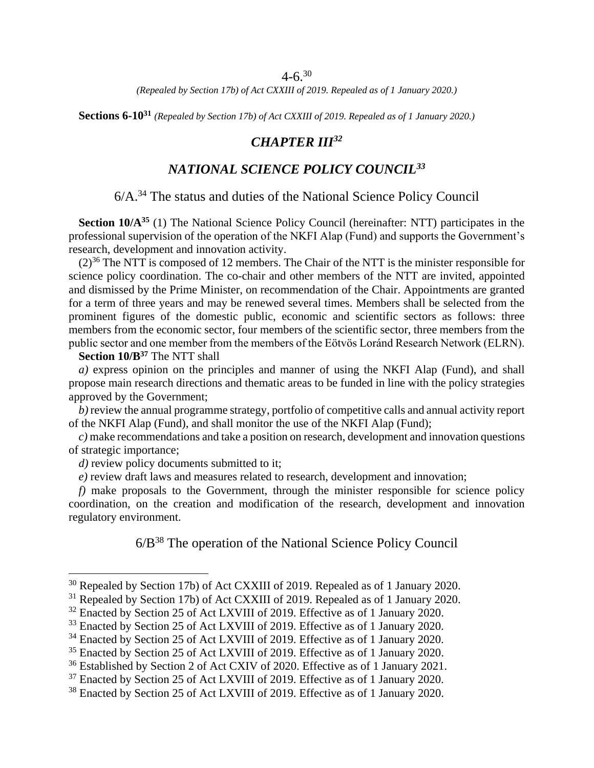#### $4-6.30$

*(Repealed by Section 17b) of Act CXXIII of 2019. Repealed as of 1 January 2020.)*

**Sections 6-10<sup>31</sup>** *(Repealed by Section 17b) of Act CXXIII of 2019. Repealed as of 1 January 2020.)*

## *CHAPTER III<sup>32</sup>*

# *NATIONAL SCIENCE POLICY COUNCIL<sup>33</sup>*

# 6/A.<sup>34</sup> The status and duties of the National Science Policy Council

**Section 10/A<sup>35</sup>** (1) The National Science Policy Council (hereinafter: NTT) participates in the professional supervision of the operation of the NKFI Alap (Fund) and supports the Government's research, development and innovation activity.

 $(2)^{36}$  The NTT is composed of 12 members. The Chair of the NTT is the minister responsible for science policy coordination. The co-chair and other members of the NTT are invited, appointed and dismissed by the Prime Minister, on recommendation of the Chair. Appointments are granted for a term of three years and may be renewed several times. Members shall be selected from the prominent figures of the domestic public, economic and scientific sectors as follows: three members from the economic sector, four members of the scientific sector, three members from the public sector and one member from the members of the Eötvös Loránd Research Network (ELRN).

**Section 10/B<sup>37</sup>** The NTT shall

 $\overline{a}$ 

*a)* express opinion on the principles and manner of using the NKFI Alap (Fund), and shall propose main research directions and thematic areas to be funded in line with the policy strategies approved by the Government;

*b)* review the annual programme strategy, portfolio of competitive calls and annual activity report of the NKFI Alap (Fund), and shall monitor the use of the NKFI Alap (Fund);

*c)* make recommendations and take a position on research, development and innovation questions of strategic importance;

*d)* review policy documents submitted to it;

*e)* review draft laws and measures related to research, development and innovation;

*f)* make proposals to the Government, through the minister responsible for science policy coordination, on the creation and modification of the research, development and innovation regulatory environment.

6/B<sup>38</sup> The operation of the National Science Policy Council

<sup>&</sup>lt;sup>30</sup> Repealed by Section 17b) of Act CXXIII of 2019. Repealed as of 1 January 2020.

<sup>&</sup>lt;sup>31</sup> Repealed by Section 17b) of Act CXXIII of 2019. Repealed as of 1 January 2020.

<sup>&</sup>lt;sup>32</sup> Enacted by Section 25 of Act LXVIII of 2019. Effective as of 1 January 2020.

<sup>&</sup>lt;sup>33</sup> Enacted by Section 25 of Act LXVIII of 2019. Effective as of 1 January 2020.

<sup>&</sup>lt;sup>34</sup> Enacted by Section 25 of Act LXVIII of 2019. Effective as of 1 January 2020.

<sup>&</sup>lt;sup>35</sup> Enacted by Section 25 of Act LXVIII of 2019. Effective as of 1 January 2020.

<sup>&</sup>lt;sup>36</sup> Established by Section 2 of Act CXIV of 2020. Effective as of 1 January 2021.

<sup>&</sup>lt;sup>37</sup> Enacted by Section 25 of Act LXVIII of 2019. Effective as of 1 January 2020.

<sup>&</sup>lt;sup>38</sup> Enacted by Section 25 of Act LXVIII of 2019. Effective as of 1 January 2020.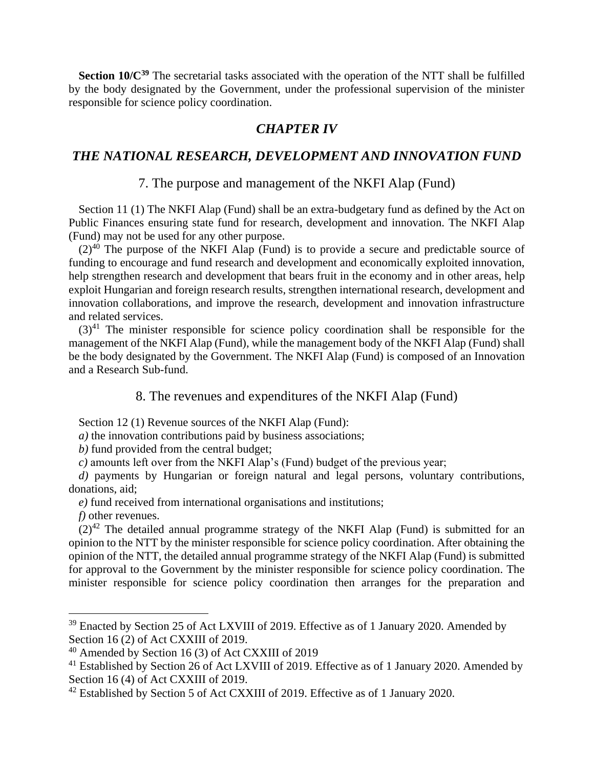**Section 10/C<sup>39</sup>** The secretarial tasks associated with the operation of the NTT shall be fulfilled by the body designated by the Government, under the professional supervision of the minister responsible for science policy coordination.

## *CHAPTER IV*

# *THE NATIONAL RESEARCH, DEVELOPMENT AND INNOVATION FUND*

#### 7. The purpose and management of the NKFI Alap (Fund)

Section 11 (1) The NKFI Alap (Fund) shall be an extra-budgetary fund as defined by the Act on Public Finances ensuring state fund for research, development and innovation. The NKFI Alap (Fund) may not be used for any other purpose.

 $(2)^{40}$  The purpose of the NKFI Alap (Fund) is to provide a secure and predictable source of funding to encourage and fund research and development and economically exploited innovation, help strengthen research and development that bears fruit in the economy and in other areas, help exploit Hungarian and foreign research results, strengthen international research, development and innovation collaborations, and improve the research, development and innovation infrastructure and related services.

 $(3)^{41}$  The minister responsible for science policy coordination shall be responsible for the management of the NKFI Alap (Fund), while the management body of the NKFI Alap (Fund) shall be the body designated by the Government. The NKFI Alap (Fund) is composed of an Innovation and a Research Sub-fund.

### 8. The revenues and expenditures of the NKFI Alap (Fund)

Section 12 (1) Revenue sources of the NKFI Alap (Fund):

*a)* the innovation contributions paid by business associations;

*b)* fund provided from the central budget;

*c)* amounts left over from the NKFI Alap's (Fund) budget of the previous year;

*d)* payments by Hungarian or foreign natural and legal persons, voluntary contributions, donations, aid;

*e)* fund received from international organisations and institutions;

*f)* other revenues.

 $\overline{a}$ 

 $(2)^{42}$  The detailed annual programme strategy of the NKFI Alap (Fund) is submitted for an opinion to the NTT by the minister responsible for science policy coordination. After obtaining the opinion of the NTT, the detailed annual programme strategy of the NKFI Alap (Fund) is submitted for approval to the Government by the minister responsible for science policy coordination. The minister responsible for science policy coordination then arranges for the preparation and

<sup>&</sup>lt;sup>39</sup> Enacted by Section 25 of Act LXVIII of 2019. Effective as of 1 January 2020. Amended by Section 16 (2) of Act CXXIII of 2019.

<sup>40</sup> Amended by Section 16 (3) of Act CXXIII of 2019

<sup>&</sup>lt;sup>41</sup> Established by Section 26 of Act LXVIII of 2019. Effective as of 1 January 2020. Amended by Section 16 (4) of Act CXXIII of 2019.

<sup>42</sup> Established by Section 5 of Act CXXIII of 2019. Effective as of 1 January 2020.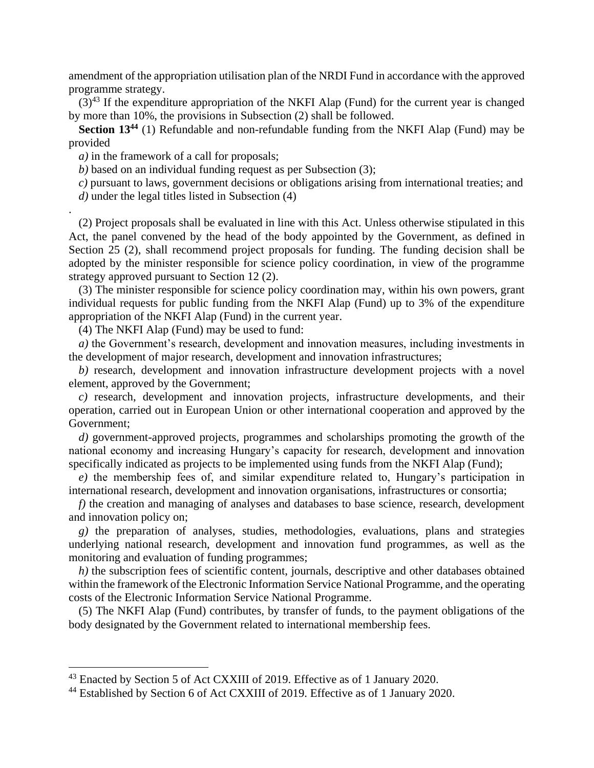amendment of the appropriation utilisation plan of the NRDI Fund in accordance with the approved programme strategy.

 $(3)^{43}$  If the expenditure appropriation of the NKFI Alap (Fund) for the current year is changed by more than 10%, the provisions in Subsection (2) shall be followed.

**Section 13<sup>44</sup>** (1) Refundable and non-refundable funding from the NKFI Alap (Fund) may be provided

*a)* in the framework of a call for proposals;

.

 $\overline{a}$ 

*b)* based on an individual funding request as per Subsection (3);

*c)* pursuant to laws, government decisions or obligations arising from international treaties; and *d)* under the legal titles listed in Subsection (4)

(2) Project proposals shall be evaluated in line with this Act. Unless otherwise stipulated in this Act, the panel convened by the head of the body appointed by the Government, as defined in Section 25 (2), shall recommend project proposals for funding. The funding decision shall be adopted by the minister responsible for science policy coordination, in view of the programme strategy approved pursuant to Section 12 (2).

(3) The minister responsible for science policy coordination may, within his own powers, grant individual requests for public funding from the NKFI Alap (Fund) up to 3% of the expenditure appropriation of the NKFI Alap (Fund) in the current year.

(4) The NKFI Alap (Fund) may be used to fund:

*a)* the Government's research, development and innovation measures, including investments in the development of major research, development and innovation infrastructures;

*b)* research, development and innovation infrastructure development projects with a novel element, approved by the Government;

*c)* research, development and innovation projects, infrastructure developments, and their operation, carried out in European Union or other international cooperation and approved by the Government;

*d)* government-approved projects, programmes and scholarships promoting the growth of the national economy and increasing Hungary's capacity for research, development and innovation specifically indicated as projects to be implemented using funds from the NKFI Alap (Fund);

*e)* the membership fees of, and similar expenditure related to, Hungary's participation in international research, development and innovation organisations, infrastructures or consortia;

*f)* the creation and managing of analyses and databases to base science, research, development and innovation policy on;

*g)* the preparation of analyses, studies, methodologies, evaluations, plans and strategies underlying national research, development and innovation fund programmes, as well as the monitoring and evaluation of funding programmes;

*h*) the subscription fees of scientific content, journals, descriptive and other databases obtained within the framework of the Electronic Information Service National Programme, and the operating costs of the Electronic Information Service National Programme.

(5) The NKFI Alap (Fund) contributes, by transfer of funds, to the payment obligations of the body designated by the Government related to international membership fees.

<sup>&</sup>lt;sup>43</sup> Enacted by Section 5 of Act CXXIII of 2019. Effective as of 1 January 2020.

<sup>44</sup> Established by Section 6 of Act CXXIII of 2019. Effective as of 1 January 2020.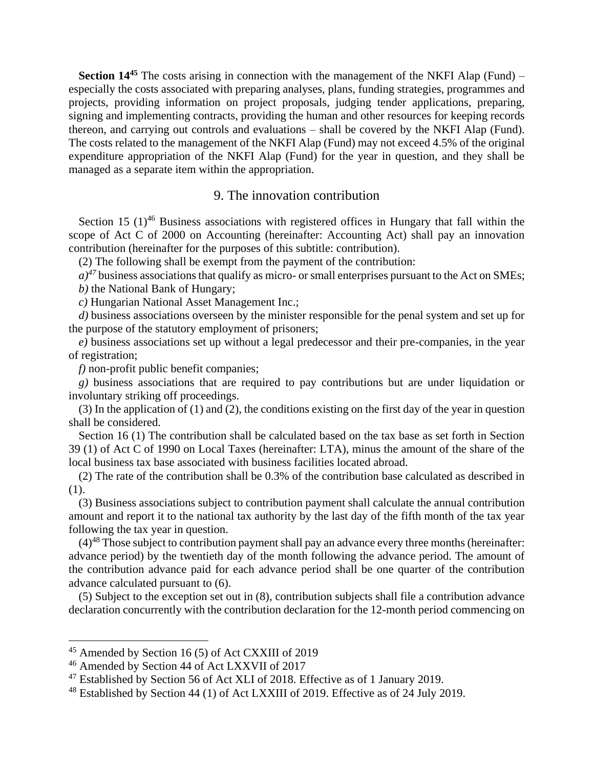**Section 14<sup>45</sup>** The costs arising in connection with the management of the NKFI Alap (Fund) – especially the costs associated with preparing analyses, plans, funding strategies, programmes and projects, providing information on project proposals, judging tender applications, preparing, signing and implementing contracts, providing the human and other resources for keeping records thereon, and carrying out controls and evaluations – shall be covered by the NKFI Alap (Fund). The costs related to the management of the NKFI Alap (Fund) may not exceed 4.5% of the original expenditure appropriation of the NKFI Alap (Fund) for the year in question, and they shall be managed as a separate item within the appropriation.

#### 9. The innovation contribution

Section 15  $(1)^{46}$  Business associations with registered offices in Hungary that fall within the scope of Act C of 2000 on Accounting (hereinafter: Accounting Act) shall pay an innovation contribution (hereinafter for the purposes of this subtitle: contribution).

(2) The following shall be exempt from the payment of the contribution:

 $a$ <sup> $47$ </sup> business associations that qualify as micro- or small enterprises pursuant to the Act on SMEs; *b)* the National Bank of Hungary;

*c)* Hungarian National Asset Management Inc.;

*d*) business associations overseen by the minister responsible for the penal system and set up for the purpose of the statutory employment of prisoners;

*e)* business associations set up without a legal predecessor and their pre-companies, in the year of registration;

*f)* non-profit public benefit companies;

*g)* business associations that are required to pay contributions but are under liquidation or involuntary striking off proceedings.

(3) In the application of (1) and (2), the conditions existing on the first day of the year in question shall be considered.

Section 16 (1) The contribution shall be calculated based on the tax base as set forth in Section 39 (1) of Act C of 1990 on Local Taxes (hereinafter: LTA), minus the amount of the share of the local business tax base associated with business facilities located abroad.

(2) The rate of the contribution shall be 0.3% of the contribution base calculated as described in (1).

(3) Business associations subject to contribution payment shall calculate the annual contribution amount and report it to the national tax authority by the last day of the fifth month of the tax year following the tax year in question.

 $(4)^{48}$  Those subject to contribution payment shall pay an advance every three months (hereinafter: advance period) by the twentieth day of the month following the advance period. The amount of the contribution advance paid for each advance period shall be one quarter of the contribution advance calculated pursuant to (6).

(5) Subject to the exception set out in (8), contribution subjects shall file a contribution advance declaration concurrently with the contribution declaration for the 12-month period commencing on

<sup>45</sup> Amended by Section 16 (5) of Act CXXIII of 2019

<sup>46</sup> Amended by Section 44 of Act LXXVII of 2017

<sup>47</sup> Established by Section 56 of Act XLI of 2018. Effective as of 1 January 2019.

<sup>&</sup>lt;sup>48</sup> Established by Section 44 (1) of Act LXXIII of 2019. Effective as of 24 July 2019.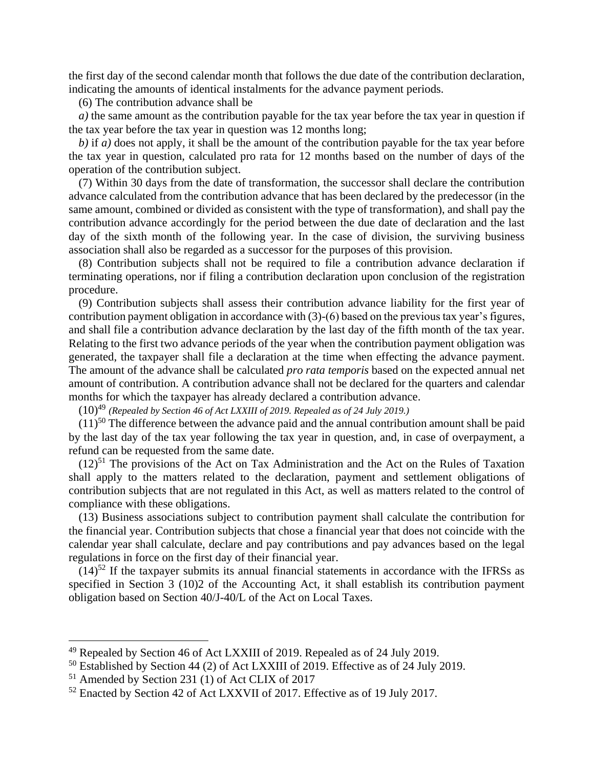the first day of the second calendar month that follows the due date of the contribution declaration, indicating the amounts of identical instalments for the advance payment periods.

(6) The contribution advance shall be

*a)* the same amount as the contribution payable for the tax year before the tax year in question if the tax year before the tax year in question was 12 months long;

*b)* if *a)* does not apply, it shall be the amount of the contribution payable for the tax year before the tax year in question, calculated pro rata for 12 months based on the number of days of the operation of the contribution subject.

(7) Within 30 days from the date of transformation, the successor shall declare the contribution advance calculated from the contribution advance that has been declared by the predecessor (in the same amount, combined or divided as consistent with the type of transformation), and shall pay the contribution advance accordingly for the period between the due date of declaration and the last day of the sixth month of the following year. In the case of division, the surviving business association shall also be regarded as a successor for the purposes of this provision.

(8) Contribution subjects shall not be required to file a contribution advance declaration if terminating operations, nor if filing a contribution declaration upon conclusion of the registration procedure.

(9) Contribution subjects shall assess their contribution advance liability for the first year of contribution payment obligation in accordance with (3)-(6) based on the previous tax year's figures, and shall file a contribution advance declaration by the last day of the fifth month of the tax year. Relating to the first two advance periods of the year when the contribution payment obligation was generated, the taxpayer shall file a declaration at the time when effecting the advance payment. The amount of the advance shall be calculated *pro rata temporis* based on the expected annual net amount of contribution. A contribution advance shall not be declared for the quarters and calendar months for which the taxpayer has already declared a contribution advance.

(10)<sup>49</sup> *(Repealed by Section 46 of Act LXXIII of 2019. Repealed as of 24 July 2019.)*

 $(11)^{50}$  The difference between the advance paid and the annual contribution amount shall be paid by the last day of the tax year following the tax year in question, and, in case of overpayment, a refund can be requested from the same date.

 $(12)^{51}$  The provisions of the Act on Tax Administration and the Act on the Rules of Taxation shall apply to the matters related to the declaration, payment and settlement obligations of contribution subjects that are not regulated in this Act, as well as matters related to the control of compliance with these obligations.

(13) Business associations subject to contribution payment shall calculate the contribution for the financial year. Contribution subjects that chose a financial year that does not coincide with the calendar year shall calculate, declare and pay contributions and pay advances based on the legal regulations in force on the first day of their financial year.

 $(14)^{52}$  If the taxpayer submits its annual financial statements in accordance with the IFRSs as specified in Section 3 (10)2 of the Accounting Act, it shall establish its contribution payment obligation based on Section 40/J-40/L of the Act on Local Taxes.

<sup>49</sup> Repealed by Section 46 of Act LXXIII of 2019. Repealed as of 24 July 2019.

<sup>50</sup> Established by Section 44 (2) of Act LXXIII of 2019. Effective as of 24 July 2019.

<sup>51</sup> Amended by Section 231 (1) of Act CLIX of 2017

<sup>52</sup> Enacted by Section 42 of Act LXXVII of 2017. Effective as of 19 July 2017.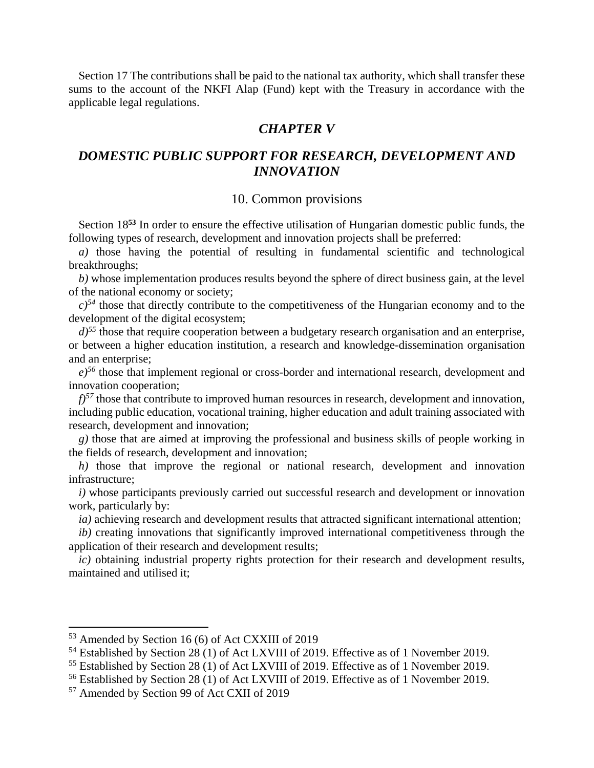Section 17 The contributions shall be paid to the national tax authority, which shall transfer these sums to the account of the NKFI Alap (Fund) kept with the Treasury in accordance with the applicable legal regulations.

## *CHAPTER V*

## *DOMESTIC PUBLIC SUPPORT FOR RESEARCH, DEVELOPMENT AND INNOVATION*

#### 10. Common provisions

Section 18**<sup>53</sup>** In order to ensure the effective utilisation of Hungarian domestic public funds, the following types of research, development and innovation projects shall be preferred:

*a)* those having the potential of resulting in fundamental scientific and technological breakthroughs;

*b)* whose implementation produces results beyond the sphere of direct business gain, at the level of the national economy or society;

 $c$ <sup>54</sup> those that directly contribute to the competitiveness of the Hungarian economy and to the development of the digital ecosystem;

 $d$ <sup> $55$ </sup> those that require cooperation between a budgetary research organisation and an enterprise, or between a higher education institution, a research and knowledge-dissemination organisation and an enterprise;

*e)<sup>56</sup>* those that implement regional or cross-border and international research, development and innovation cooperation;

 $f$ <sup>57</sup> those that contribute to improved human resources in research, development and innovation, including public education, vocational training, higher education and adult training associated with research, development and innovation;

*g)* those that are aimed at improving the professional and business skills of people working in the fields of research, development and innovation;

*h)* those that improve the regional or national research, development and innovation infrastructure;

*i)* whose participants previously carried out successful research and development or innovation work, particularly by:

*ia*) achieving research and development results that attracted significant international attention;

*ib)* creating innovations that significantly improved international competitiveness through the application of their research and development results;

*ic)* obtaining industrial property rights protection for their research and development results, maintained and utilised it;

<sup>53</sup> Amended by Section 16 (6) of Act CXXIII of 2019

<sup>&</sup>lt;sup>54</sup> Established by Section 28 (1) of Act LXVIII of 2019. Effective as of 1 November 2019.

<sup>&</sup>lt;sup>55</sup> Established by Section 28 (1) of Act LXVIII of 2019. Effective as of 1 November 2019.

<sup>&</sup>lt;sup>56</sup> Established by Section 28 (1) of Act LXVIII of 2019. Effective as of 1 November 2019.

<sup>57</sup> Amended by Section 99 of Act CXII of 2019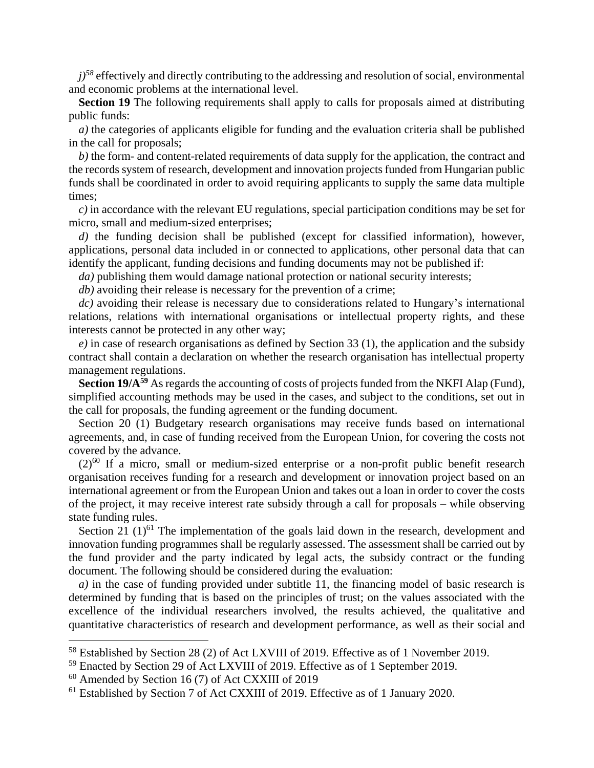$j$ <sup>58</sup> effectively and directly contributing to the addressing and resolution of social, environmental and economic problems at the international level.

**Section 19** The following requirements shall apply to calls for proposals aimed at distributing public funds:

*a)* the categories of applicants eligible for funding and the evaluation criteria shall be published in the call for proposals;

*b)* the form- and content-related requirements of data supply for the application, the contract and the records system of research, development and innovation projects funded from Hungarian public funds shall be coordinated in order to avoid requiring applicants to supply the same data multiple times;

*c)* in accordance with the relevant EU regulations, special participation conditions may be set for micro, small and medium-sized enterprises;

*d)* the funding decision shall be published (except for classified information), however, applications, personal data included in or connected to applications, other personal data that can identify the applicant, funding decisions and funding documents may not be published if:

*da*) publishing them would damage national protection or national security interests;

*db)* avoiding their release is necessary for the prevention of a crime;

*dc)* avoiding their release is necessary due to considerations related to Hungary's international relations, relations with international organisations or intellectual property rights, and these interests cannot be protected in any other way;

*e)* in case of research organisations as defined by Section 33 (1), the application and the subsidy contract shall contain a declaration on whether the research organisation has intellectual property management regulations.

**Section 19/A<sup>59</sup>** As regards the accounting of costs of projects funded from the NKFI Alap (Fund), simplified accounting methods may be used in the cases, and subject to the conditions, set out in the call for proposals, the funding agreement or the funding document.

Section 20 (1) Budgetary research organisations may receive funds based on international agreements, and, in case of funding received from the European Union, for covering the costs not covered by the advance.

 $(2)^{60}$  If a micro, small or medium-sized enterprise or a non-profit public benefit research organisation receives funding for a research and development or innovation project based on an international agreement or from the European Union and takes out a loan in order to cover the costs of the project, it may receive interest rate subsidy through a call for proposals – while observing state funding rules.

Section 21  $(1)$ <sup>61</sup> The implementation of the goals laid down in the research, development and innovation funding programmes shall be regularly assessed. The assessment shall be carried out by the fund provider and the party indicated by legal acts, the subsidy contract or the funding document. The following should be considered during the evaluation:

*a)* in the case of funding provided under subtitle 11, the financing model of basic research is determined by funding that is based on the principles of trust; on the values associated with the excellence of the individual researchers involved, the results achieved, the qualitative and quantitative characteristics of research and development performance, as well as their social and

<sup>58</sup> Established by Section 28 (2) of Act LXVIII of 2019. Effective as of 1 November 2019.

<sup>59</sup> Enacted by Section 29 of Act LXVIII of 2019. Effective as of 1 September 2019.

 $60$  Amended by Section 16 (7) of Act CXXIII of 2019

<sup>61</sup> Established by Section 7 of Act CXXIII of 2019. Effective as of 1 January 2020.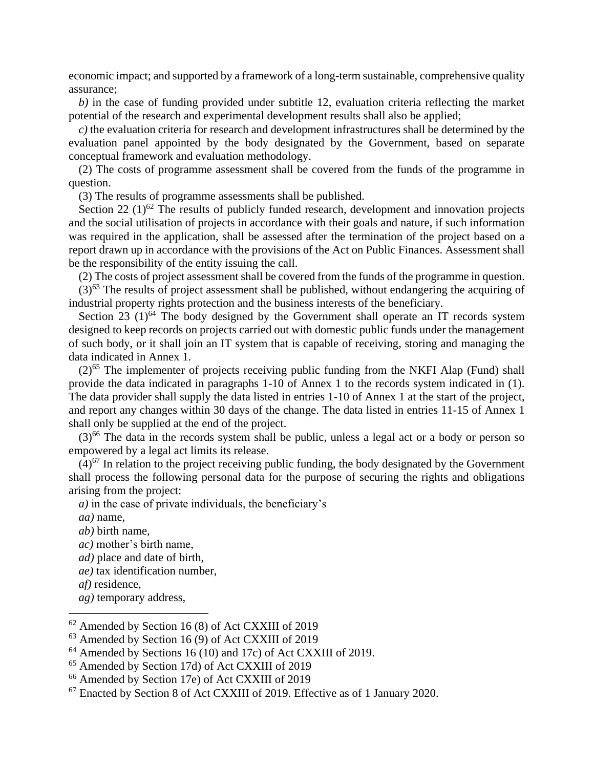economic impact; and supported by a framework of a long-term sustainable, comprehensive quality assurance;

*b)* in the case of funding provided under subtitle 12, evaluation criteria reflecting the market potential of the research and experimental development results shall also be applied;

*c)* the evaluation criteria for research and development infrastructures shall be determined by the evaluation panel appointed by the body designated by the Government, based on separate conceptual framework and evaluation methodology.

(2) The costs of programme assessment shall be covered from the funds of the programme in question.

(3) The results of programme assessments shall be published.

Section 22  $(1)^{62}$  The results of publicly funded research, development and innovation projects and the social utilisation of projects in accordance with their goals and nature, if such information was required in the application, shall be assessed after the termination of the project based on a report drawn up in accordance with the provisions of the Act on Public Finances. Assessment shall be the responsibility of the entity issuing the call.

(2) The costs of project assessment shall be covered from the funds of the programme in question.

 $(3)$ <sup>63</sup> The results of project assessment shall be published, without endangering the acquiring of industrial property rights protection and the business interests of the beneficiary.

Section  $23$  (1)<sup>64</sup> The body designed by the Government shall operate an IT records system designed to keep records on projects carried out with domestic public funds under the management of such body, or it shall join an IT system that is capable of receiving, storing and managing the data indicated in Annex 1.

 $(2)$ <sup>65</sup> The implementer of projects receiving public funding from the NKFI Alap (Fund) shall provide the data indicated in paragraphs 1-10 of Annex 1 to the records system indicated in (1). The data provider shall supply the data listed in entries 1-10 of Annex 1 at the start of the project, and report any changes within 30 days of the change. The data listed in entries 11-15 of Annex 1 shall only be supplied at the end of the project.

 $(3)^{66}$  The data in the records system shall be public, unless a legal act or a body or person so empowered by a legal act limits its release.

 $(4)^{67}$  In relation to the project receiving public funding, the body designated by the Government shall process the following personal data for the purpose of securing the rights and obligations arising from the project:

*a)* in the case of private individuals, the beneficiary's

- *aa)* name,
- *ab)* birth name,
- *ac)* mother's birth name,
- *ad)* place and date of birth,
- *ae)* tax identification number,
- *af)* residence,

 $\overline{a}$ 

*ag)* temporary address,

 $62$  Amended by Section 16 (8) of Act CXXIII of 2019

<sup>63</sup> Amended by Section 16 (9) of Act CXXIII of 2019

<sup>&</sup>lt;sup>64</sup> Amended by Sections 16 (10) and 17c) of Act CXXIII of 2019.

<sup>65</sup> Amended by Section 17d) of Act CXXIII of 2019

<sup>66</sup> Amended by Section 17e) of Act CXXIII of 2019

<sup>67</sup> Enacted by Section 8 of Act CXXIII of 2019. Effective as of 1 January 2020.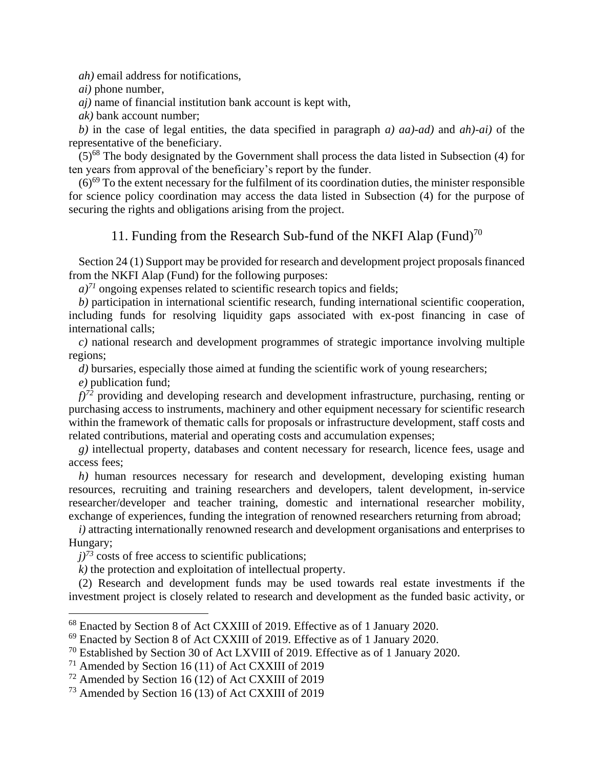*ah)* email address for notifications,

*ai)* phone number,

*aj)* name of financial institution bank account is kept with,

*ak)* bank account number;

*b)* in the case of legal entities, the data specified in paragraph *a) aa)-ad)* and *ah)-ai)* of the representative of the beneficiary.

 $(5)^{68}$  The body designated by the Government shall process the data listed in Subsection (4) for ten years from approval of the beneficiary's report by the funder.

 $(6)^{69}$  To the extent necessary for the fulfilment of its coordination duties, the minister responsible for science policy coordination may access the data listed in Subsection (4) for the purpose of securing the rights and obligations arising from the project.

#### 11. Funding from the Research Sub-fund of the NKFI Alap (Fund)<sup>70</sup>

Section 24 (1) Support may be provided for research and development project proposals financed from the NKFI Alap (Fund) for the following purposes:

 $a$ <sup> $71$ </sup> ongoing expenses related to scientific research topics and fields;

*b)* participation in international scientific research, funding international scientific cooperation, including funds for resolving liquidity gaps associated with ex-post financing in case of international calls;

*c)* national research and development programmes of strategic importance involving multiple regions;

*d*) bursaries, especially those aimed at funding the scientific work of young researchers;

*e)* publication fund;

 $\overline{a}$ 

*f)<sup>72</sup>* providing and developing research and development infrastructure, purchasing, renting or purchasing access to instruments, machinery and other equipment necessary for scientific research within the framework of thematic calls for proposals or infrastructure development, staff costs and related contributions, material and operating costs and accumulation expenses;

*g)* intellectual property, databases and content necessary for research, licence fees, usage and access fees;

*h)* human resources necessary for research and development, developing existing human resources, recruiting and training researchers and developers, talent development, in-service researcher/developer and teacher training, domestic and international researcher mobility, exchange of experiences, funding the integration of renowned researchers returning from abroad;

*i)* attracting internationally renowned research and development organisations and enterprises to Hungary;

 $j^{73}$  costs of free access to scientific publications;

*k)* the protection and exploitation of intellectual property.

(2) Research and development funds may be used towards real estate investments if the investment project is closely related to research and development as the funded basic activity, or

<sup>68</sup> Enacted by Section 8 of Act CXXIII of 2019. Effective as of 1 January 2020.

<sup>69</sup> Enacted by Section 8 of Act CXXIII of 2019. Effective as of 1 January 2020.

<sup>70</sup> Established by Section 30 of Act LXVIII of 2019. Effective as of 1 January 2020.

<sup>71</sup> Amended by Section 16 (11) of Act CXXIII of 2019

<sup>72</sup> Amended by Section 16 (12) of Act CXXIII of 2019

<sup>73</sup> Amended by Section 16 (13) of Act CXXIII of 2019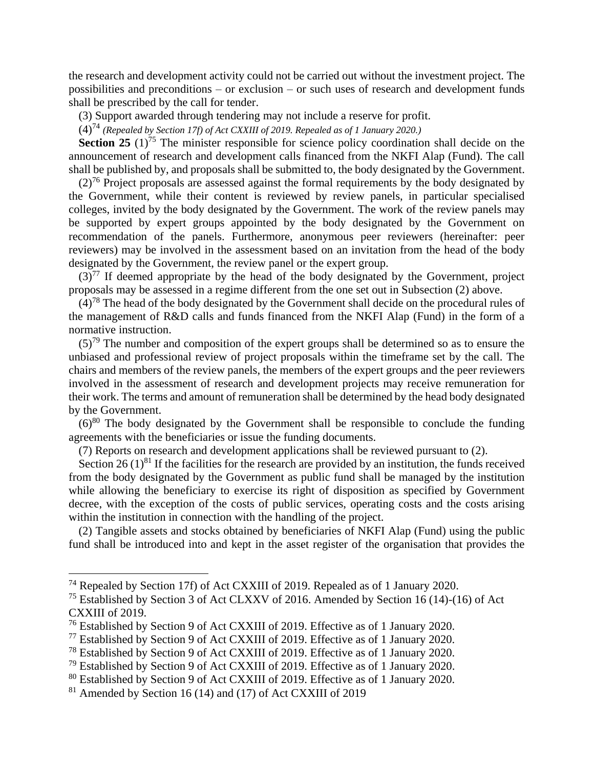the research and development activity could not be carried out without the investment project. The possibilities and preconditions – or exclusion – or such uses of research and development funds shall be prescribed by the call for tender.

(3) Support awarded through tendering may not include a reserve for profit.

(4)<sup>74</sup> *(Repealed by Section 17f) of Act CXXIII of 2019. Repealed as of 1 January 2020.)*

**Section 25**  $(1)^{75}$  The minister responsible for science policy coordination shall decide on the announcement of research and development calls financed from the NKFI Alap (Fund). The call shall be published by, and proposals shall be submitted to, the body designated by the Government.

 $(2)^{76}$  Project proposals are assessed against the formal requirements by the body designated by the Government, while their content is reviewed by review panels, in particular specialised colleges, invited by the body designated by the Government. The work of the review panels may be supported by expert groups appointed by the body designated by the Government on recommendation of the panels. Furthermore, anonymous peer reviewers (hereinafter: peer reviewers) may be involved in the assessment based on an invitation from the head of the body designated by the Government, the review panel or the expert group.

 $(3)^{77}$  If deemed appropriate by the head of the body designated by the Government, project proposals may be assessed in a regime different from the one set out in Subsection (2) above.

 $(4)<sup>78</sup>$  The head of the body designated by the Government shall decide on the procedural rules of the management of R&D calls and funds financed from the NKFI Alap (Fund) in the form of a normative instruction.

 $(5)<sup>79</sup>$  The number and composition of the expert groups shall be determined so as to ensure the unbiased and professional review of project proposals within the timeframe set by the call. The chairs and members of the review panels, the members of the expert groups and the peer reviewers involved in the assessment of research and development projects may receive remuneration for their work. The terms and amount of remuneration shall be determined by the head body designated by the Government.

 $(6)^{80}$  The body designated by the Government shall be responsible to conclude the funding agreements with the beneficiaries or issue the funding documents.

(7) Reports on research and development applications shall be reviewed pursuant to (2).

Section 26  $(1)^{81}$  If the facilities for the research are provided by an institution, the funds received from the body designated by the Government as public fund shall be managed by the institution while allowing the beneficiary to exercise its right of disposition as specified by Government decree, with the exception of the costs of public services, operating costs and the costs arising within the institution in connection with the handling of the project.

(2) Tangible assets and stocks obtained by beneficiaries of NKFI Alap (Fund) using the public fund shall be introduced into and kept in the asset register of the organisation that provides the

<sup>&</sup>lt;sup>74</sup> Repealed by Section 17f) of Act CXXIII of 2019. Repealed as of 1 January 2020.

<sup>75</sup> Established by Section 3 of Act CLXXV of 2016. Amended by Section 16 (14)-(16) of Act CXXIII of 2019.

<sup>76</sup> Established by Section 9 of Act CXXIII of 2019. Effective as of 1 January 2020.

<sup>77</sup> Established by Section 9 of Act CXXIII of 2019. Effective as of 1 January 2020.

<sup>78</sup> Established by Section 9 of Act CXXIII of 2019. Effective as of 1 January 2020.

<sup>79</sup> Established by Section 9 of Act CXXIII of 2019. Effective as of 1 January 2020.

<sup>80</sup> Established by Section 9 of Act CXXIII of 2019. Effective as of 1 January 2020.

<sup>81</sup> Amended by Section 16 (14) and (17) of Act CXXIII of 2019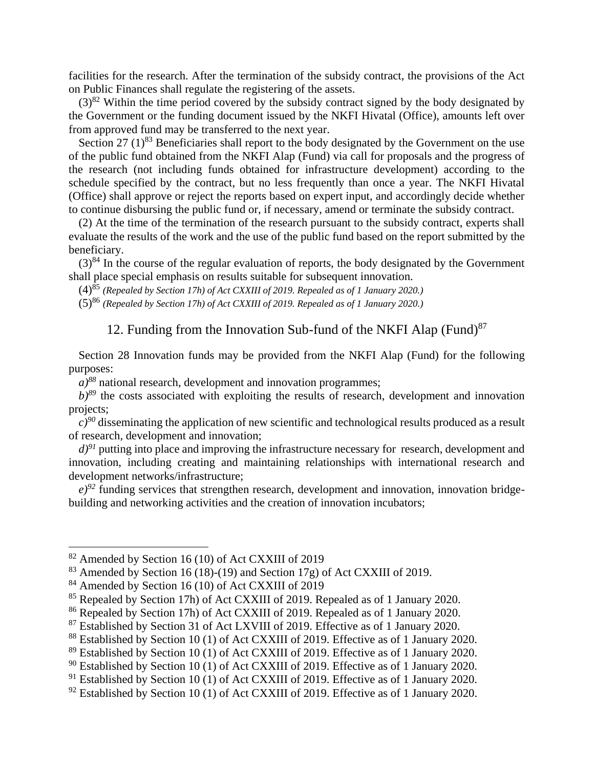facilities for the research. After the termination of the subsidy contract, the provisions of the Act on Public Finances shall regulate the registering of the assets.

 $(3)^{82}$  Within the time period covered by the subsidy contract signed by the body designated by the Government or the funding document issued by the NKFI Hivatal (Office), amounts left over from approved fund may be transferred to the next year.

Section 27  $(1)^{83}$  Beneficiaries shall report to the body designated by the Government on the use of the public fund obtained from the NKFI Alap (Fund) via call for proposals and the progress of the research (not including funds obtained for infrastructure development) according to the schedule specified by the contract, but no less frequently than once a year. The NKFI Hivatal (Office) shall approve or reject the reports based on expert input, and accordingly decide whether to continue disbursing the public fund or, if necessary, amend or terminate the subsidy contract.

(2) At the time of the termination of the research pursuant to the subsidy contract, experts shall evaluate the results of the work and the use of the public fund based on the report submitted by the beneficiary.

 $(3)^{84}$  In the course of the regular evaluation of reports, the body designated by the Government shall place special emphasis on results suitable for subsequent innovation.

(4)<sup>85</sup> *(Repealed by Section 17h) of Act CXXIII of 2019. Repealed as of 1 January 2020.)*

(5)<sup>86</sup> *(Repealed by Section 17h) of Act CXXIII of 2019. Repealed as of 1 January 2020.)*

# 12. Funding from the Innovation Sub-fund of the NKFI Alap (Fund) $87$

Section 28 Innovation funds may be provided from the NKFI Alap (Fund) for the following purposes:

 $a$ <sup>88</sup> national research, development and innovation programmes;

 $b$ <sup>89</sup> the costs associated with exploiting the results of research, development and innovation projects;

 $c$ <sup>90</sup> disseminating the application of new scientific and technological results produced as a result of research, development and innovation;

 $d^{91}$  putting into place and improving the infrastructure necessary for research, development and innovation, including creating and maintaining relationships with international research and development networks/infrastructure;

 $e^{j92}$  funding services that strengthen research, development and innovation, innovation bridgebuilding and networking activities and the creation of innovation incubators;

<sup>&</sup>lt;sup>82</sup> Amended by Section 16 (10) of Act CXXIII of 2019

 $83$  Amended by Section 16 (18)-(19) and Section 17g) of Act CXXIII of 2019.

<sup>&</sup>lt;sup>84</sup> Amended by Section 16 (10) of Act CXXIII of 2019

<sup>&</sup>lt;sup>85</sup> Repealed by Section 17h) of Act CXXIII of 2019. Repealed as of 1 January 2020.

<sup>86</sup> Repealed by Section 17h) of Act CXXIII of 2019. Repealed as of 1 January 2020.

<sup>87</sup> Established by Section 31 of Act LXVIII of 2019. Effective as of 1 January 2020.

<sup>&</sup>lt;sup>88</sup> Established by Section 10 (1) of Act CXXIII of 2019. Effective as of 1 January 2020.

<sup>&</sup>lt;sup>89</sup> Established by Section 10 (1) of Act CXXIII of 2019. Effective as of 1 January 2020.

<sup>&</sup>lt;sup>90</sup> Established by Section 10 (1) of Act CXXIII of 2019. Effective as of 1 January 2020.

 $91$  Established by Section 10 (1) of Act CXXIII of 2019. Effective as of 1 January 2020.

 $92$  Established by Section 10 (1) of Act CXXIII of 2019. Effective as of 1 January 2020.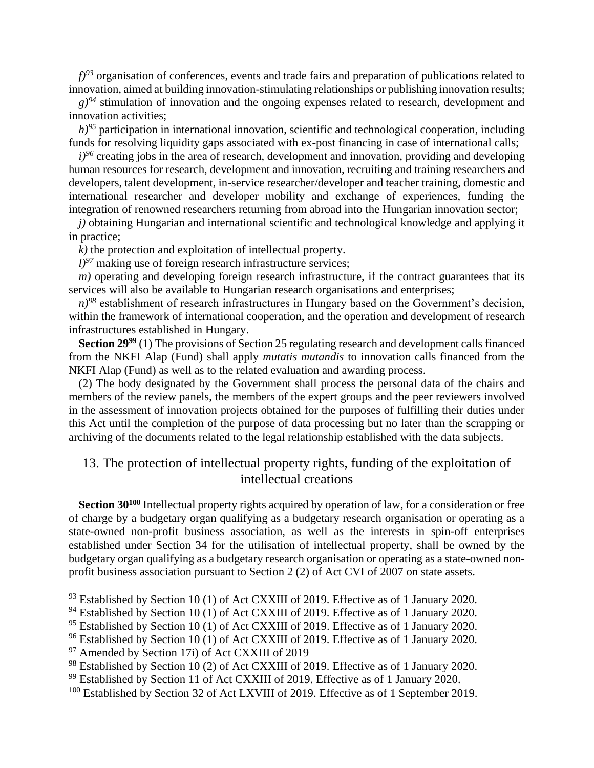*f)<sup>93</sup>* organisation of conferences, events and trade fairs and preparation of publications related to innovation, aimed at building innovation-stimulating relationships or publishing innovation results;

 $g$ <sup>94</sup> stimulation of innovation and the ongoing expenses related to research, development and innovation activities;

 $h$ <sup>95</sup> participation in international innovation, scientific and technological cooperation, including funds for resolving liquidity gaps associated with ex-post financing in case of international calls;

 $i$ <sup>96</sup> creating jobs in the area of research, development and innovation, providing and developing human resources for research, development and innovation, recruiting and training researchers and developers, talent development, in-service researcher/developer and teacher training, domestic and international researcher and developer mobility and exchange of experiences, funding the integration of renowned researchers returning from abroad into the Hungarian innovation sector;

*j)* obtaining Hungarian and international scientific and technological knowledge and applying it in practice;

*k)* the protection and exploitation of intellectual property.

 $l$ <sup>97</sup> making use of foreign research infrastructure services;

 $m$ ) operating and developing foreign research infrastructure, if the contract guarantees that its services will also be available to Hungarian research organisations and enterprises;

*n)<sup>98</sup>* establishment of research infrastructures in Hungary based on the Government's decision, within the framework of international cooperation, and the operation and development of research infrastructures established in Hungary.

**Section 29<sup>99</sup>** (1) The provisions of Section 25 regulating research and development calls financed from the NKFI Alap (Fund) shall apply *mutatis mutandis* to innovation calls financed from the NKFI Alap (Fund) as well as to the related evaluation and awarding process.

(2) The body designated by the Government shall process the personal data of the chairs and members of the review panels, the members of the expert groups and the peer reviewers involved in the assessment of innovation projects obtained for the purposes of fulfilling their duties under this Act until the completion of the purpose of data processing but no later than the scrapping or archiving of the documents related to the legal relationship established with the data subjects.

## 13. The protection of intellectual property rights, funding of the exploitation of intellectual creations

**Section 30<sup>100</sup>** Intellectual property rights acquired by operation of law, for a consideration or free of charge by a budgetary organ qualifying as a budgetary research organisation or operating as a state-owned non-profit business association, as well as the interests in spin-off enterprises established under Section 34 for the utilisation of intellectual property, shall be owned by the budgetary organ qualifying as a budgetary research organisation or operating as a state-owned nonprofit business association pursuant to Section 2 (2) of Act CVI of 2007 on state assets.

 $93$  Established by Section 10 (1) of Act CXXIII of 2019. Effective as of 1 January 2020.

<sup>&</sup>lt;sup>94</sup> Established by Section 10 (1) of Act CXXIII of 2019. Effective as of 1 January 2020.

<sup>&</sup>lt;sup>95</sup> Established by Section 10 (1) of Act CXXIII of 2019. Effective as of 1 January 2020.

<sup>&</sup>lt;sup>96</sup> Established by Section 10 (1) of Act CXXIII of 2019. Effective as of 1 January 2020.

<sup>&</sup>lt;sup>97</sup> Amended by Section 17i) of Act CXXIII of 2019

<sup>&</sup>lt;sup>98</sup> Established by Section 10 (2) of Act CXXIII of 2019. Effective as of 1 January 2020.

<sup>&</sup>lt;sup>99</sup> Established by Section 11 of Act CXXIII of 2019. Effective as of 1 January 2020.

<sup>&</sup>lt;sup>100</sup> Established by Section 32 of Act LXVIII of 2019. Effective as of 1 September 2019.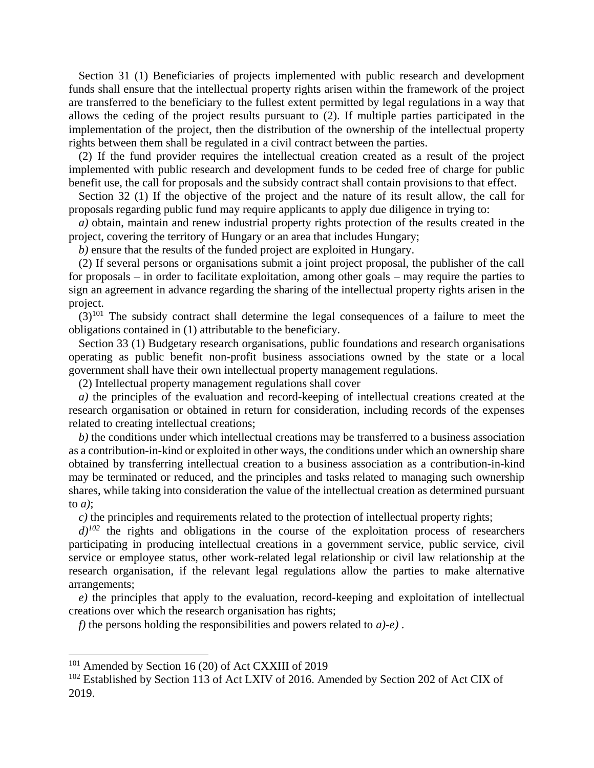Section 31 (1) Beneficiaries of projects implemented with public research and development funds shall ensure that the intellectual property rights arisen within the framework of the project are transferred to the beneficiary to the fullest extent permitted by legal regulations in a way that allows the ceding of the project results pursuant to (2). If multiple parties participated in the implementation of the project, then the distribution of the ownership of the intellectual property rights between them shall be regulated in a civil contract between the parties.

(2) If the fund provider requires the intellectual creation created as a result of the project implemented with public research and development funds to be ceded free of charge for public benefit use, the call for proposals and the subsidy contract shall contain provisions to that effect.

Section 32 (1) If the objective of the project and the nature of its result allow, the call for proposals regarding public fund may require applicants to apply due diligence in trying to:

*a)* obtain, maintain and renew industrial property rights protection of the results created in the project, covering the territory of Hungary or an area that includes Hungary;

*b)* ensure that the results of the funded project are exploited in Hungary.

(2) If several persons or organisations submit a joint project proposal, the publisher of the call for proposals – in order to facilitate exploitation, among other goals – may require the parties to sign an agreement in advance regarding the sharing of the intellectual property rights arisen in the project.

 $(3)^{101}$  The subsidy contract shall determine the legal consequences of a failure to meet the obligations contained in (1) attributable to the beneficiary.

Section 33 (1) Budgetary research organisations, public foundations and research organisations operating as public benefit non-profit business associations owned by the state or a local government shall have their own intellectual property management regulations.

(2) Intellectual property management regulations shall cover

*a)* the principles of the evaluation and record-keeping of intellectual creations created at the research organisation or obtained in return for consideration, including records of the expenses related to creating intellectual creations;

*b)* the conditions under which intellectual creations may be transferred to a business association as a contribution-in-kind or exploited in other ways, the conditions under which an ownership share obtained by transferring intellectual creation to a business association as a contribution-in-kind may be terminated or reduced, and the principles and tasks related to managing such ownership shares, while taking into consideration the value of the intellectual creation as determined pursuant to *a)*;

*c)* the principles and requirements related to the protection of intellectual property rights;

 $d^{102}$  the rights and obligations in the course of the exploitation process of researchers participating in producing intellectual creations in a government service, public service, civil service or employee status, other work-related legal relationship or civil law relationship at the research organisation, if the relevant legal regulations allow the parties to make alternative arrangements;

*e)* the principles that apply to the evaluation, record-keeping and exploitation of intellectual creations over which the research organisation has rights;

*f)* the persons holding the responsibilities and powers related to *a)-e)* .

<sup>101</sup> Amended by Section 16 (20) of Act CXXIII of 2019

<sup>&</sup>lt;sup>102</sup> Established by Section 113 of Act LXIV of 2016. Amended by Section 202 of Act CIX of 2019.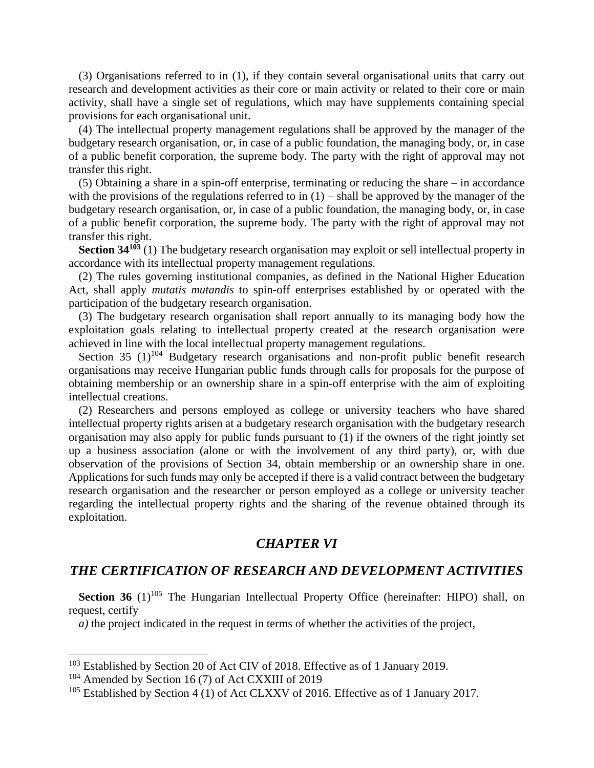(3) Organisations referred to in (1), if they contain several organisational units that carry out research and development activities as their core or main activity or related to their core or main activity, shall have a single set of regulations, which may have supplements containing special provisions for each organisational unit.

(4) The intellectual property management regulations shall be approved by the manager of the budgetary research organisation, or, in case of a public foundation, the managing body, or, in case of a public benefit corporation, the supreme body. The party with the right of approval may not transfer this right.

(5) Obtaining a share in a spin-off enterprise, terminating or reducing the share – in accordance with the provisions of the regulations referred to in  $(1)$  – shall be approved by the manager of the budgetary research organisation, or, in case of a public foundation, the managing body, or, in case of a public benefit corporation, the supreme body. The party with the right of approval may not transfer this right.

**Section 34<sup>103</sup>** (1) The budgetary research organisation may exploit or sell intellectual property in accordance with its intellectual property management regulations.

(2) The rules governing institutional companies, as defined in the National Higher Education Act, shall apply *mutatis mutandis* to spin-off enterprises established by or operated with the participation of the budgetary research organisation.

(3) The budgetary research organisation shall report annually to its managing body how the exploitation goals relating to intellectual property created at the research organisation were achieved in line with the local intellectual property management regulations.

Section 35  $(1)^{104}$  Budgetary research organisations and non-profit public benefit research organisations may receive Hungarian public funds through calls for proposals for the purpose of obtaining membership or an ownership share in a spin-off enterprise with the aim of exploiting intellectual creations.

(2) Researchers and persons employed as college or university teachers who have shared intellectual property rights arisen at a budgetary research organisation with the budgetary research organisation may also apply for public funds pursuant to (1) if the owners of the right jointly set up a business association (alone or with the involvement of any third party), or, with due observation of the provisions of Section 34, obtain membership or an ownership share in one. Applications for such funds may only be accepted if there is a valid contract between the budgetary research organisation and the researcher or person employed as a college or university teacher regarding the intellectual property rights and the sharing of the revenue obtained through its exploitation.

#### *CHAPTER VI*

#### *THE CERTIFICATION OF RESEARCH AND DEVELOPMENT ACTIVITIES*

**Section 36** (1)<sup>105</sup> The Hungarian Intellectual Property Office (hereinafter: HIPO) shall, on request, certify

*a)* the project indicated in the request in terms of whether the activities of the project,

<sup>&</sup>lt;sup>103</sup> Established by Section 20 of Act CIV of 2018. Effective as of 1 January 2019.

<sup>&</sup>lt;sup>104</sup> Amended by Section 16 (7) of Act CXXIII of 2019

<sup>&</sup>lt;sup>105</sup> Established by Section 4 (1) of Act CLXXV of 2016. Effective as of 1 January 2017.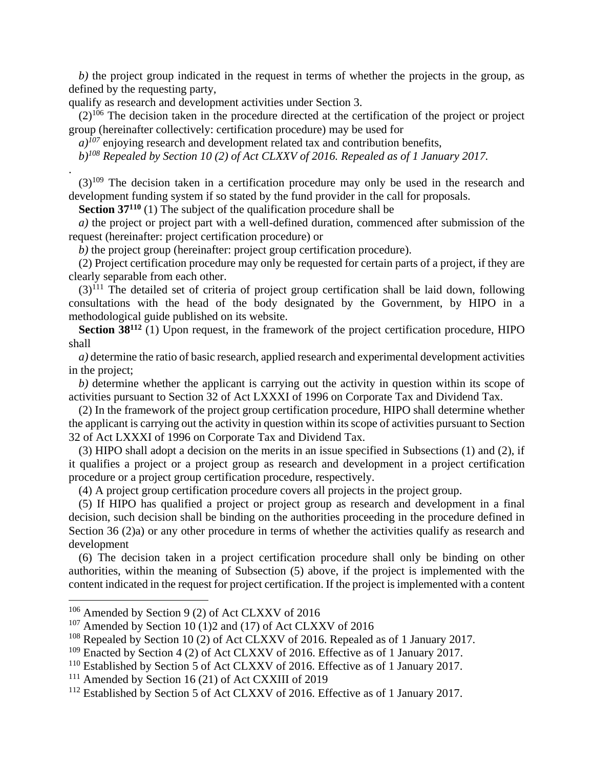*b)* the project group indicated in the request in terms of whether the projects in the group, as defined by the requesting party,

qualify as research and development activities under Section 3.

.

 $\overline{a}$ 

 $(2)^{106}$  The decision taken in the procedure directed at the certification of the project or project group (hereinafter collectively: certification procedure) may be used for

 $a$ <sup> $107$ </sup> enjoying research and development related tax and contribution benefits,

*b)<sup>108</sup> Repealed by Section 10 (2) of Act CLXXV of 2016. Repealed as of 1 January 2017.*

 $(3)^{109}$  The decision taken in a certification procedure may only be used in the research and development funding system if so stated by the fund provider in the call for proposals.

**Section 37<sup>110</sup>** (1) The subject of the qualification procedure shall be

*a)* the project or project part with a well-defined duration, commenced after submission of the request (hereinafter: project certification procedure) or

*b)* the project group (hereinafter: project group certification procedure).

(2) Project certification procedure may only be requested for certain parts of a project, if they are clearly separable from each other.

 $(3)$ <sup>111</sup> The detailed set of criteria of project group certification shall be laid down, following consultations with the head of the body designated by the Government, by HIPO in a methodological guide published on its website.

**Section 38<sup>112</sup>** (1) Upon request, in the framework of the project certification procedure, HIPO shall

*a)* determine the ratio of basic research, applied research and experimental development activities in the project;

*b)* determine whether the applicant is carrying out the activity in question within its scope of activities pursuant to Section 32 of Act LXXXI of 1996 on Corporate Tax and Dividend Tax.

(2) In the framework of the project group certification procedure, HIPO shall determine whether the applicant is carrying out the activity in question within its scope of activities pursuant to Section 32 of Act LXXXI of 1996 on Corporate Tax and Dividend Tax.

(3) HIPO shall adopt a decision on the merits in an issue specified in Subsections (1) and (2), if it qualifies a project or a project group as research and development in a project certification procedure or a project group certification procedure, respectively.

(4) A project group certification procedure covers all projects in the project group.

(5) If HIPO has qualified a project or project group as research and development in a final decision, such decision shall be binding on the authorities proceeding in the procedure defined in Section 36 (2)a) or any other procedure in terms of whether the activities qualify as research and development

(6) The decision taken in a project certification procedure shall only be binding on other authorities, within the meaning of Subsection (5) above, if the project is implemented with the content indicated in the request for project certification. If the project is implemented with a content

<sup>106</sup> Amended by Section 9 (2) of Act CLXXV of 2016

<sup>&</sup>lt;sup>107</sup> Amended by Section 10 (1)2 and (17) of Act CLXXV of 2016

<sup>&</sup>lt;sup>108</sup> Repealed by Section 10 (2) of Act CLXXV of 2016. Repealed as of 1 January 2017.

<sup>&</sup>lt;sup>109</sup> Enacted by Section 4 (2) of Act CLXXV of 2016. Effective as of 1 January 2017.

<sup>&</sup>lt;sup>110</sup> Established by Section 5 of Act CLXXV of 2016. Effective as of 1 January 2017.

<sup>111</sup> Amended by Section 16 (21) of Act CXXIII of 2019

<sup>&</sup>lt;sup>112</sup> Established by Section 5 of Act CLXXV of 2016. Effective as of 1 January 2017.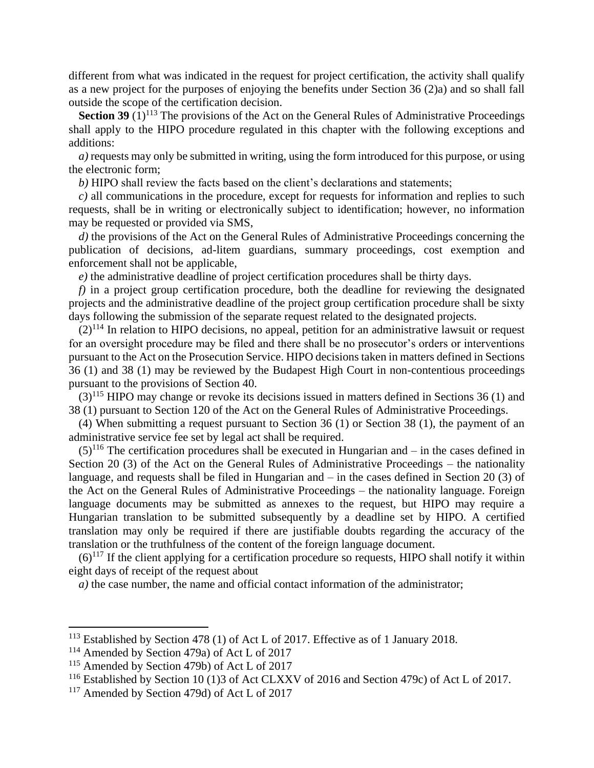different from what was indicated in the request for project certification, the activity shall qualify as a new project for the purposes of enjoying the benefits under Section 36 (2)a) and so shall fall outside the scope of the certification decision.

**Section 39**  $(1)^{113}$  The provisions of the Act on the General Rules of Administrative Proceedings shall apply to the HIPO procedure regulated in this chapter with the following exceptions and additions:

*a)* requests may only be submitted in writing, using the form introduced for this purpose, or using the electronic form;

*b)* HIPO shall review the facts based on the client's declarations and statements;

*c)* all communications in the procedure, except for requests for information and replies to such requests, shall be in writing or electronically subject to identification; however, no information may be requested or provided via SMS,

*d)* the provisions of the Act on the General Rules of Administrative Proceedings concerning the publication of decisions, ad-litem guardians, summary proceedings, cost exemption and enforcement shall not be applicable,

*e)* the administrative deadline of project certification procedures shall be thirty days.

*f)* in a project group certification procedure, both the deadline for reviewing the designated projects and the administrative deadline of the project group certification procedure shall be sixty days following the submission of the separate request related to the designated projects.

 $(2)^{114}$  In relation to HIPO decisions, no appeal, petition for an administrative lawsuit or request for an oversight procedure may be filed and there shall be no prosecutor's orders or interventions pursuant to the Act on the Prosecution Service. HIPO decisions taken in matters defined in Sections 36 (1) and 38 (1) may be reviewed by the Budapest High Court in non-contentious proceedings pursuant to the provisions of Section 40.

 $(3)^{115}$  HIPO may change or revoke its decisions issued in matters defined in Sections 36 (1) and 38 (1) pursuant to Section 120 of the Act on the General Rules of Administrative Proceedings.

(4) When submitting a request pursuant to Section 36 (1) or Section 38 (1), the payment of an administrative service fee set by legal act shall be required.

 $(5)^{116}$  The certification procedures shall be executed in Hungarian and – in the cases defined in Section 20 (3) of the Act on the General Rules of Administrative Proceedings – the nationality language, and requests shall be filed in Hungarian and – in the cases defined in Section 20 (3) of the Act on the General Rules of Administrative Proceedings – the nationality language. Foreign language documents may be submitted as annexes to the request, but HIPO may require a Hungarian translation to be submitted subsequently by a deadline set by HIPO. A certified translation may only be required if there are justifiable doubts regarding the accuracy of the translation or the truthfulness of the content of the foreign language document.

 $(6)^{117}$  If the client applying for a certification procedure so requests, HIPO shall notify it within eight days of receipt of the request about

*a)* the case number, the name and official contact information of the administrator;

<sup>113</sup> Established by Section 478 (1) of Act L of 2017. Effective as of 1 January 2018.

<sup>114</sup> Amended by Section 479a) of Act L of 2017

<sup>&</sup>lt;sup>115</sup> Amended by Section 479b) of Act L of 2017

<sup>&</sup>lt;sup>116</sup> Established by Section 10 (1)3 of Act CLXXV of 2016 and Section 479c) of Act L of 2017.

<sup>&</sup>lt;sup>117</sup> Amended by Section 479d) of Act L of 2017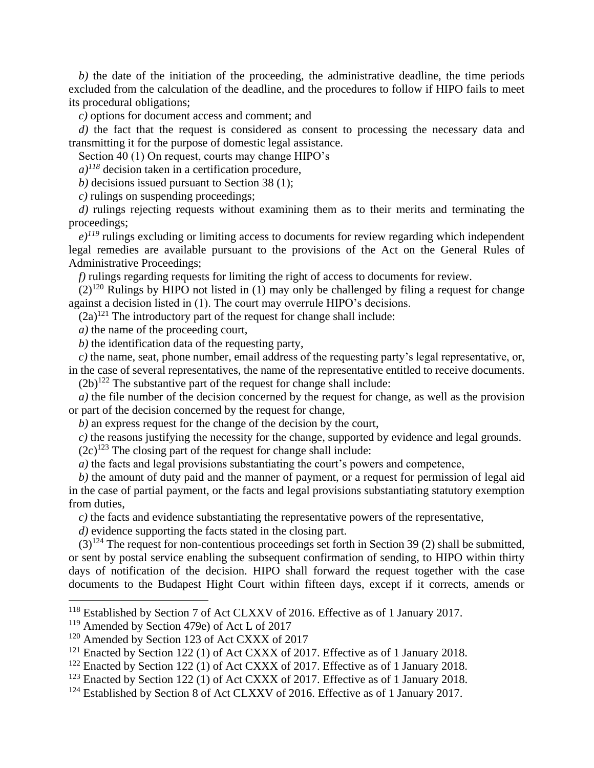*b)* the date of the initiation of the proceeding, the administrative deadline, the time periods excluded from the calculation of the deadline, and the procedures to follow if HIPO fails to meet its procedural obligations;

*c)* options for document access and comment; and

*d*) the fact that the request is considered as consent to processing the necessary data and transmitting it for the purpose of domestic legal assistance.

Section 40 (1) On request, courts may change HIPO's

 $a$ <sup> $118$ </sup> decision taken in a certification procedure,

*b)* decisions issued pursuant to Section 38 (1);

*c)* rulings on suspending proceedings;

*d*) rulings rejecting requests without examining them as to their merits and terminating the proceedings;

 $e^{j^{1/9}}$  rulings excluding or limiting access to documents for review regarding which independent legal remedies are available pursuant to the provisions of the Act on the General Rules of Administrative Proceedings;

*f)* rulings regarding requests for limiting the right of access to documents for review.

 $(2)^{120}$  Rulings by HIPO not listed in (1) may only be challenged by filing a request for change against a decision listed in (1). The court may overrule HIPO's decisions.

 $(2a)^{121}$  The introductory part of the request for change shall include:

*a)* the name of the proceeding court,

*b)* the identification data of the requesting party,

*c)* the name, seat, phone number, email address of the requesting party's legal representative, or, in the case of several representatives, the name of the representative entitled to receive documents.

 $(2b)^{122}$  The substantive part of the request for change shall include:

*a)* the file number of the decision concerned by the request for change, as well as the provision or part of the decision concerned by the request for change,

*b)* an express request for the change of the decision by the court,

*c)* the reasons justifying the necessity for the change, supported by evidence and legal grounds.

 $(2c)^{123}$  The closing part of the request for change shall include:

*a*) the facts and legal provisions substantiating the court's powers and competence,

*b)* the amount of duty paid and the manner of payment, or a request for permission of legal aid in the case of partial payment, or the facts and legal provisions substantiating statutory exemption from duties,

*c)* the facts and evidence substantiating the representative powers of the representative,

*d)* evidence supporting the facts stated in the closing part.

 $(3)^{124}$  The request for non-contentious proceedings set forth in Section 39 (2) shall be submitted, or sent by postal service enabling the subsequent confirmation of sending, to HIPO within thirty days of notification of the decision. HIPO shall forward the request together with the case documents to the Budapest Hight Court within fifteen days, except if it corrects, amends or

<sup>&</sup>lt;sup>118</sup> Established by Section 7 of Act CLXXV of 2016. Effective as of 1 January 2017.

<sup>119</sup> Amended by Section 479e) of Act L of 2017

<sup>&</sup>lt;sup>120</sup> Amended by Section 123 of Act CXXX of 2017

<sup>&</sup>lt;sup>121</sup> Enacted by Section 122 (1) of Act CXXX of 2017. Effective as of 1 January 2018.

<sup>&</sup>lt;sup>122</sup> Enacted by Section 122 (1) of Act CXXX of 2017. Effective as of 1 January 2018.

<sup>&</sup>lt;sup>123</sup> Enacted by Section 122 (1) of Act CXXX of 2017. Effective as of 1 January 2018.

<sup>&</sup>lt;sup>124</sup> Established by Section 8 of Act CLXXV of 2016. Effective as of 1 January 2017.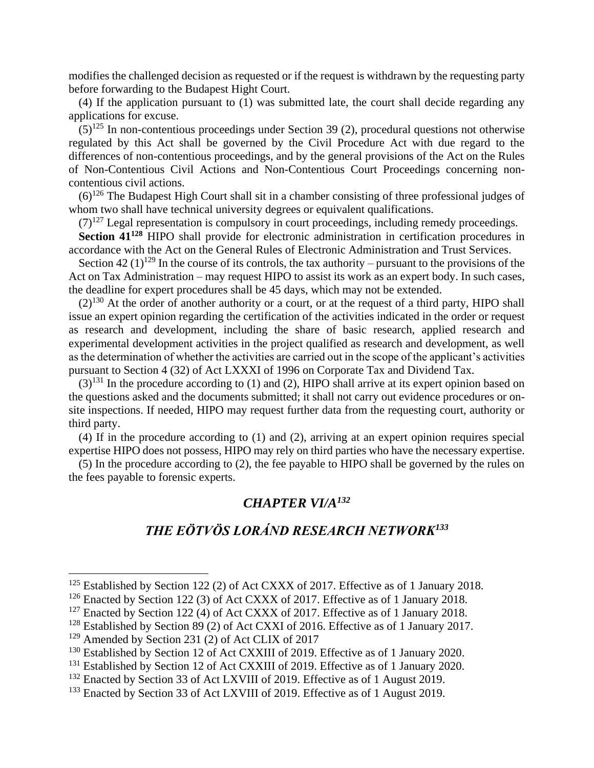modifies the challenged decision as requested or if the request is withdrawn by the requesting party before forwarding to the Budapest Hight Court.

(4) If the application pursuant to  $(1)$  was submitted late, the court shall decide regarding any applications for excuse.

 $(5)^{125}$  In non-contentious proceedings under Section 39 (2), procedural questions not otherwise regulated by this Act shall be governed by the Civil Procedure Act with due regard to the differences of non-contentious proceedings, and by the general provisions of the Act on the Rules of Non-Contentious Civil Actions and Non-Contentious Court Proceedings concerning noncontentious civil actions.

 $(6)^{126}$  The Budapest High Court shall sit in a chamber consisting of three professional judges of whom two shall have technical university degrees or equivalent qualifications.

 $(7)^{127}$  Legal representation is compulsory in court proceedings, including remedy proceedings.

**Section 41<sup>128</sup>** HIPO shall provide for electronic administration in certification procedures in accordance with the Act on the General Rules of Electronic Administration and Trust Services.

Section 42 (1)<sup>129</sup> In the course of its controls, the tax authority – pursuant to the provisions of the Act on Tax Administration – may request HIPO to assist its work as an expert body. In such cases, the deadline for expert procedures shall be 45 days, which may not be extended.

 $(2)^{130}$  At the order of another authority or a court, or at the request of a third party, HIPO shall issue an expert opinion regarding the certification of the activities indicated in the order or request as research and development, including the share of basic research, applied research and experimental development activities in the project qualified as research and development, as well as the determination of whether the activities are carried out in the scope of the applicant's activities pursuant to Section 4 (32) of Act LXXXI of 1996 on Corporate Tax and Dividend Tax.

 $(3)^{131}$  In the procedure according to (1) and (2), HIPO shall arrive at its expert opinion based on the questions asked and the documents submitted; it shall not carry out evidence procedures or onsite inspections. If needed, HIPO may request further data from the requesting court, authority or third party.

(4) If in the procedure according to (1) and (2), arriving at an expert opinion requires special expertise HIPO does not possess, HIPO may rely on third parties who have the necessary expertise.

(5) In the procedure according to (2), the fee payable to HIPO shall be governed by the rules on the fees payable to forensic experts.

### *CHAPTER VI/A<sup>132</sup>*

# *THE EÖTVÖS LORÁND RESEARCH NETWORK<sup>133</sup>*

 $125$  Established by Section 122 (2) of Act CXXX of 2017. Effective as of 1 January 2018.

<sup>&</sup>lt;sup>126</sup> Enacted by Section 122 (3) of Act CXXX of 2017. Effective as of 1 January 2018.

 $127$  Enacted by Section 122 (4) of Act CXXX of 2017. Effective as of 1 January 2018.

 $128$  Established by Section 89 (2) of Act CXXI of 2016. Effective as of 1 January 2017.

<sup>129</sup> Amended by Section 231 (2) of Act CLIX of 2017

<sup>&</sup>lt;sup>130</sup> Established by Section 12 of Act CXXIII of 2019. Effective as of 1 January 2020.

<sup>&</sup>lt;sup>131</sup> Established by Section 12 of Act CXXIII of 2019. Effective as of 1 January 2020.

<sup>&</sup>lt;sup>132</sup> Enacted by Section 33 of Act LXVIII of 2019. Effective as of 1 August 2019.

<sup>&</sup>lt;sup>133</sup> Enacted by Section 33 of Act LXVIII of 2019. Effective as of 1 August 2019.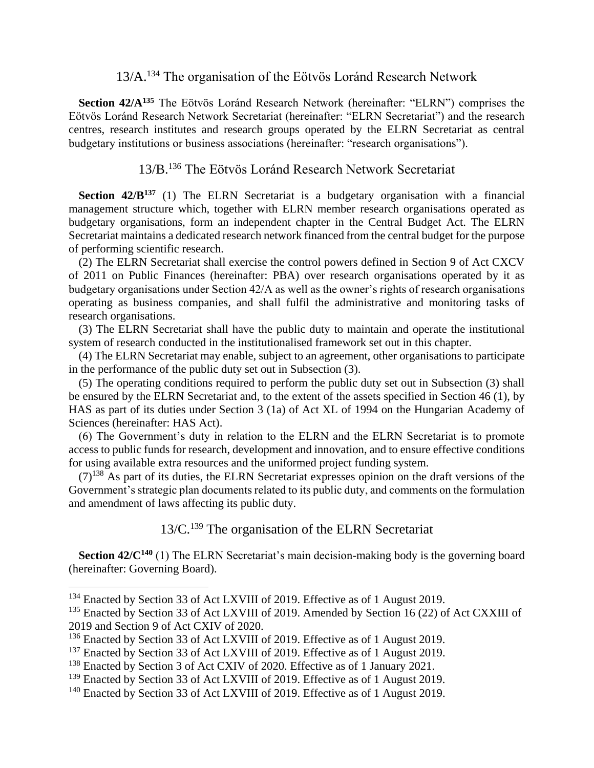# 13/A.<sup>134</sup> The organisation of the Eötvös Loránd Research Network

**Section 42/A<sup>135</sup>** The Eötvös Loránd Research Network (hereinafter: "ELRN") comprises the Eötvös Loránd Research Network Secretariat (hereinafter: "ELRN Secretariat") and the research centres, research institutes and research groups operated by the ELRN Secretariat as central budgetary institutions or business associations (hereinafter: "research organisations").

# 13/B.<sup>136</sup> The Eötvös Loránd Research Network Secretariat

**Section 42/B<sup>137</sup>** (1) The ELRN Secretariat is a budgetary organisation with a financial management structure which, together with ELRN member research organisations operated as budgetary organisations, form an independent chapter in the Central Budget Act. The ELRN Secretariat maintains a dedicated research network financed from the central budget for the purpose of performing scientific research.

(2) The ELRN Secretariat shall exercise the control powers defined in Section 9 of Act CXCV of 2011 on Public Finances (hereinafter: PBA) over research organisations operated by it as budgetary organisations under Section 42/A as well as the owner's rights of research organisations operating as business companies, and shall fulfil the administrative and monitoring tasks of research organisations.

(3) The ELRN Secretariat shall have the public duty to maintain and operate the institutional system of research conducted in the institutionalised framework set out in this chapter.

(4) The ELRN Secretariat may enable, subject to an agreement, other organisations to participate in the performance of the public duty set out in Subsection (3).

(5) The operating conditions required to perform the public duty set out in Subsection (3) shall be ensured by the ELRN Secretariat and, to the extent of the assets specified in Section 46 (1), by HAS as part of its duties under Section 3 (1a) of Act XL of 1994 on the Hungarian Academy of Sciences (hereinafter: HAS Act).

(6) The Government's duty in relation to the ELRN and the ELRN Secretariat is to promote access to public funds for research, development and innovation, and to ensure effective conditions for using available extra resources and the uniformed project funding system.

 $(7)^{138}$  As part of its duties, the ELRN Secretariat expresses opinion on the draft versions of the Government's strategic plan documents related to its public duty, and comments on the formulation and amendment of laws affecting its public duty.

13/C.<sup>139</sup> The organisation of the ELRN Secretariat

**Section 42/C<sup>140</sup>** (1) The ELRN Secretariat's main decision-making body is the governing board (hereinafter: Governing Board).

<sup>&</sup>lt;sup>134</sup> Enacted by Section 33 of Act LXVIII of 2019. Effective as of 1 August 2019.

<sup>&</sup>lt;sup>135</sup> Enacted by Section 33 of Act LXVIII of 2019. Amended by Section 16 (22) of Act CXXIII of 2019 and Section 9 of Act CXIV of 2020.

<sup>&</sup>lt;sup>136</sup> Enacted by Section 33 of Act LXVIII of 2019. Effective as of 1 August 2019.

<sup>&</sup>lt;sup>137</sup> Enacted by Section 33 of Act LXVIII of 2019. Effective as of 1 August 2019.

<sup>&</sup>lt;sup>138</sup> Enacted by Section 3 of Act CXIV of 2020. Effective as of 1 January 2021.

<sup>&</sup>lt;sup>139</sup> Enacted by Section 33 of Act LXVIII of 2019. Effective as of 1 August 2019.

<sup>&</sup>lt;sup>140</sup> Enacted by Section 33 of Act LXVIII of 2019. Effective as of 1 August 2019.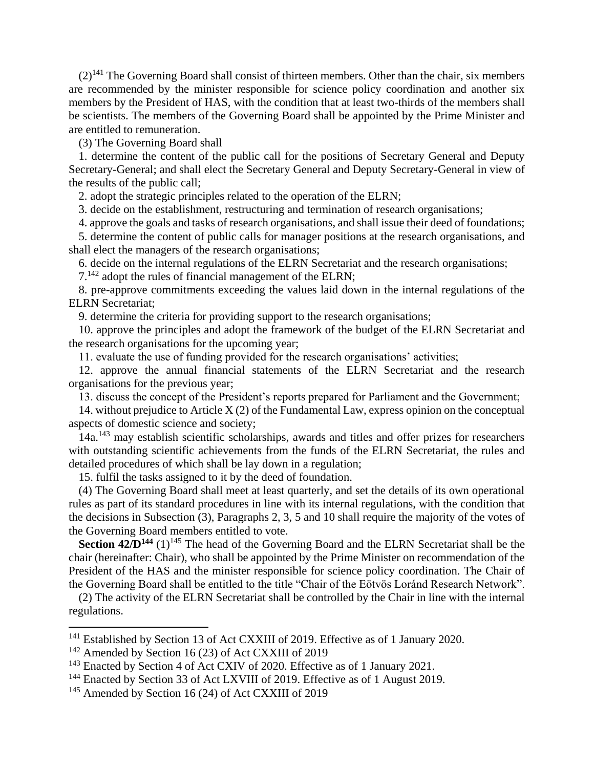$(2)^{141}$  The Governing Board shall consist of thirteen members. Other than the chair, six members are recommended by the minister responsible for science policy coordination and another six members by the President of HAS, with the condition that at least two-thirds of the members shall be scientists. The members of the Governing Board shall be appointed by the Prime Minister and are entitled to remuneration.

(3) The Governing Board shall

1. determine the content of the public call for the positions of Secretary General and Deputy Secretary-General; and shall elect the Secretary General and Deputy Secretary-General in view of the results of the public call;

2. adopt the strategic principles related to the operation of the ELRN;

3. decide on the establishment, restructuring and termination of research organisations;

4. approve the goals and tasks of research organisations, and shall issue their deed of foundations;

5. determine the content of public calls for manager positions at the research organisations, and shall elect the managers of the research organisations;

6. decide on the internal regulations of the ELRN Secretariat and the research organisations;

7.<sup>142</sup> adopt the rules of financial management of the ELRN;

8. pre-approve commitments exceeding the values laid down in the internal regulations of the ELRN Secretariat;

9. determine the criteria for providing support to the research organisations;

10. approve the principles and adopt the framework of the budget of the ELRN Secretariat and the research organisations for the upcoming year;

11. evaluate the use of funding provided for the research organisations' activities;

12. approve the annual financial statements of the ELRN Secretariat and the research organisations for the previous year;

13. discuss the concept of the President's reports prepared for Parliament and the Government;

14. without prejudice to Article X (2) of the Fundamental Law, express opinion on the conceptual aspects of domestic science and society;

14a.<sup>143</sup> may establish scientific scholarships, awards and titles and offer prizes for researchers with outstanding scientific achievements from the funds of the ELRN Secretariat, the rules and detailed procedures of which shall be lay down in a regulation;

15. fulfil the tasks assigned to it by the deed of foundation.

(4) The Governing Board shall meet at least quarterly, and set the details of its own operational rules as part of its standard procedures in line with its internal regulations, with the condition that the decisions in Subsection (3), Paragraphs 2, 3, 5 and 10 shall require the majority of the votes of the Governing Board members entitled to vote.

**Section 42/D<sup>144</sup>** (1)<sup>145</sup> The head of the Governing Board and the ELRN Secretariat shall be the chair (hereinafter: Chair), who shall be appointed by the Prime Minister on recommendation of the President of the HAS and the minister responsible for science policy coordination. The Chair of the Governing Board shall be entitled to the title "Chair of the Eötvös Loránd Research Network".

(2) The activity of the ELRN Secretariat shall be controlled by the Chair in line with the internal regulations.

<sup>&</sup>lt;sup>141</sup> Established by Section 13 of Act CXXIII of 2019. Effective as of 1 January 2020.

<sup>&</sup>lt;sup>142</sup> Amended by Section 16 (23) of Act CXXIII of 2019

<sup>&</sup>lt;sup>143</sup> Enacted by Section 4 of Act CXIV of 2020. Effective as of 1 January 2021.

<sup>&</sup>lt;sup>144</sup> Enacted by Section 33 of Act LXVIII of 2019. Effective as of 1 August 2019.

<sup>&</sup>lt;sup>145</sup> Amended by Section 16 (24) of Act CXXIII of 2019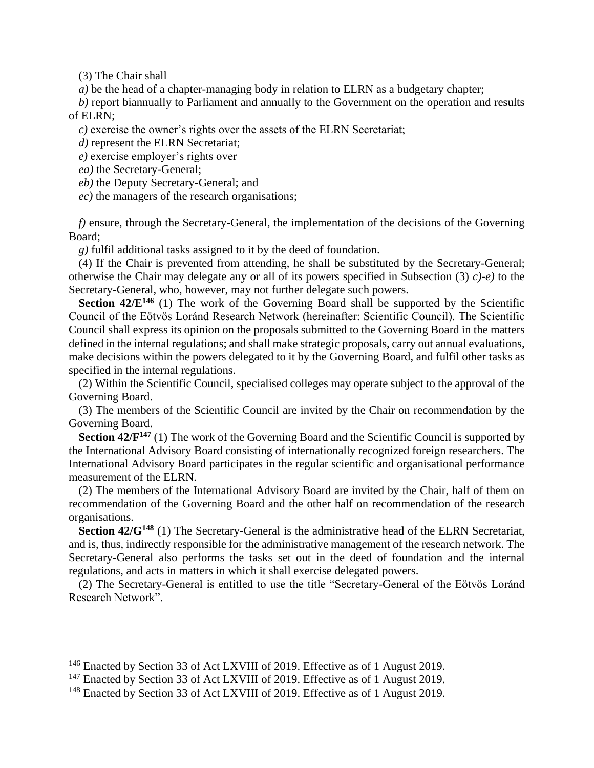(3) The Chair shall

 $\overline{a}$ 

*a*) be the head of a chapter-managing body in relation to ELRN as a budgetary chapter;

*b)* report biannually to Parliament and annually to the Government on the operation and results of ELRN;

*c)* exercise the owner's rights over the assets of the ELRN Secretariat;

*d)* represent the ELRN Secretariat;

*e)* exercise employer's rights over

*ea)* the Secretary-General;

*eb)* the Deputy Secretary-General; and

*ec)* the managers of the research organisations;

*f)* ensure, through the Secretary-General, the implementation of the decisions of the Governing Board;

*g)* fulfil additional tasks assigned to it by the deed of foundation.

(4) If the Chair is prevented from attending, he shall be substituted by the Secretary-General; otherwise the Chair may delegate any or all of its powers specified in Subsection (3) *c)-e)* to the Secretary-General, who, however, may not further delegate such powers.

**Section 42/E<sup>146</sup>** (1) The work of the Governing Board shall be supported by the Scientific Council of the Eötvös Loránd Research Network (hereinafter: Scientific Council). The Scientific Council shall express its opinion on the proposals submitted to the Governing Board in the matters defined in the internal regulations; and shall make strategic proposals, carry out annual evaluations, make decisions within the powers delegated to it by the Governing Board, and fulfil other tasks as specified in the internal regulations.

(2) Within the Scientific Council, specialised colleges may operate subject to the approval of the Governing Board.

(3) The members of the Scientific Council are invited by the Chair on recommendation by the Governing Board.

**Section 42/F<sup>147</sup>** (1) The work of the Governing Board and the Scientific Council is supported by the International Advisory Board consisting of internationally recognized foreign researchers. The International Advisory Board participates in the regular scientific and organisational performance measurement of the ELRN.

(2) The members of the International Advisory Board are invited by the Chair, half of them on recommendation of the Governing Board and the other half on recommendation of the research organisations.

**Section 42/G<sup>148</sup>** (1) The Secretary-General is the administrative head of the ELRN Secretariat, and is, thus, indirectly responsible for the administrative management of the research network. The Secretary-General also performs the tasks set out in the deed of foundation and the internal regulations, and acts in matters in which it shall exercise delegated powers.

(2) The Secretary-General is entitled to use the title "Secretary-General of the Eötvös Loránd Research Network".

<sup>&</sup>lt;sup>146</sup> Enacted by Section 33 of Act LXVIII of 2019. Effective as of 1 August 2019.

 $147$  Enacted by Section 33 of Act LXVIII of 2019. Effective as of 1 August 2019.

<sup>&</sup>lt;sup>148</sup> Enacted by Section 33 of Act LXVIII of 2019. Effective as of 1 August 2019.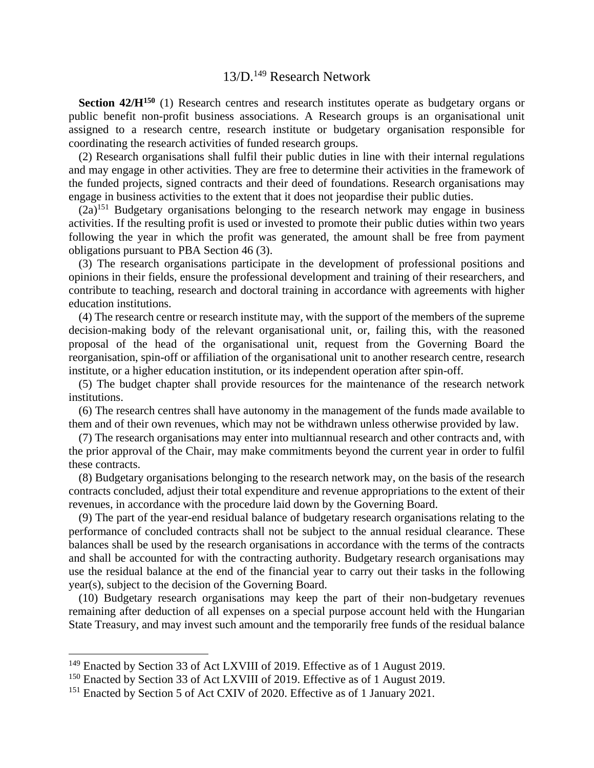# 13/D.<sup>149</sup> Research Network

**Section 42/H<sup>150</sup>** (1) Research centres and research institutes operate as budgetary organs or public benefit non-profit business associations. A Research groups is an organisational unit assigned to a research centre, research institute or budgetary organisation responsible for coordinating the research activities of funded research groups.

(2) Research organisations shall fulfil their public duties in line with their internal regulations and may engage in other activities. They are free to determine their activities in the framework of the funded projects, signed contracts and their deed of foundations. Research organisations may engage in business activities to the extent that it does not jeopardise their public duties.

 $(2a)^{151}$  Budgetary organisations belonging to the research network may engage in business activities. If the resulting profit is used or invested to promote their public duties within two years following the year in which the profit was generated, the amount shall be free from payment obligations pursuant to PBA Section 46 (3).

(3) The research organisations participate in the development of professional positions and opinions in their fields, ensure the professional development and training of their researchers, and contribute to teaching, research and doctoral training in accordance with agreements with higher education institutions.

(4) The research centre or research institute may, with the support of the members of the supreme decision-making body of the relevant organisational unit, or, failing this, with the reasoned proposal of the head of the organisational unit, request from the Governing Board the reorganisation, spin-off or affiliation of the organisational unit to another research centre, research institute, or a higher education institution, or its independent operation after spin-off.

(5) The budget chapter shall provide resources for the maintenance of the research network institutions.

(6) The research centres shall have autonomy in the management of the funds made available to them and of their own revenues, which may not be withdrawn unless otherwise provided by law.

(7) The research organisations may enter into multiannual research and other contracts and, with the prior approval of the Chair, may make commitments beyond the current year in order to fulfil these contracts.

(8) Budgetary organisations belonging to the research network may, on the basis of the research contracts concluded, adjust their total expenditure and revenue appropriations to the extent of their revenues, in accordance with the procedure laid down by the Governing Board.

(9) The part of the year-end residual balance of budgetary research organisations relating to the performance of concluded contracts shall not be subject to the annual residual clearance. These balances shall be used by the research organisations in accordance with the terms of the contracts and shall be accounted for with the contracting authority. Budgetary research organisations may use the residual balance at the end of the financial year to carry out their tasks in the following year(s), subject to the decision of the Governing Board.

(10) Budgetary research organisations may keep the part of their non-budgetary revenues remaining after deduction of all expenses on a special purpose account held with the Hungarian State Treasury, and may invest such amount and the temporarily free funds of the residual balance

<sup>&</sup>lt;sup>149</sup> Enacted by Section 33 of Act LXVIII of 2019. Effective as of 1 August 2019.

<sup>&</sup>lt;sup>150</sup> Enacted by Section 33 of Act LXVIII of 2019. Effective as of 1 August 2019.

<sup>&</sup>lt;sup>151</sup> Enacted by Section 5 of Act CXIV of 2020. Effective as of 1 January 2021.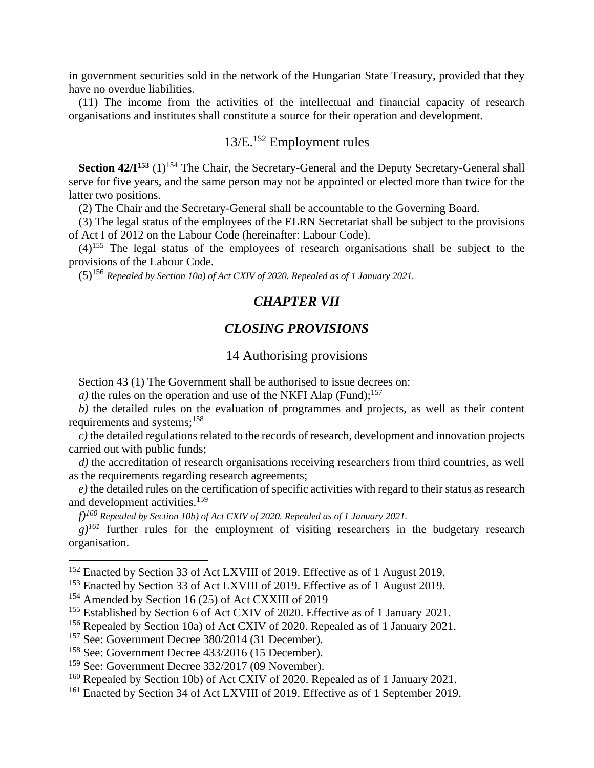in government securities sold in the network of the Hungarian State Treasury, provided that they have no overdue liabilities.

(11) The income from the activities of the intellectual and financial capacity of research organisations and institutes shall constitute a source for their operation and development.

# 13/E.<sup>152</sup> Employment rules

**Section 42/I<sup>153</sup>** (1)<sup>154</sup> The Chair, the Secretary-General and the Deputy Secretary-General shall serve for five years, and the same person may not be appointed or elected more than twice for the latter two positions.

(2) The Chair and the Secretary-General shall be accountable to the Governing Board.

(3) The legal status of the employees of the ELRN Secretariat shall be subject to the provisions of Act I of 2012 on the Labour Code (hereinafter: Labour Code).

 $(4)^{155}$  The legal status of the employees of research organisations shall be subject to the provisions of the Labour Code.

(5)<sup>156</sup> *Repealed by Section 10a) of Act CXIV of 2020. Repealed as of 1 January 2021.*

#### *CHAPTER VII*

#### *CLOSING PROVISIONS*

#### 14 Authorising provisions

Section 43 (1) The Government shall be authorised to issue decrees on:

*a*) the rules on the operation and use of the NKFI Alap (Fund);<sup>157</sup>

*b)* the detailed rules on the evaluation of programmes and projects, as well as their content requirements and systems;<sup>158</sup>

*c)* the detailed regulations related to the records of research, development and innovation projects carried out with public funds;

*d*) the accreditation of research organisations receiving researchers from third countries, as well as the requirements regarding research agreements;

*e)* the detailed rules on the certification of specific activities with regard to their status as research and development activities.<sup>159</sup>

*f)<sup>160</sup> Repealed by Section 10b) of Act CXIV of 2020. Repealed as of 1 January 2021.*

*g)<sup>161</sup>* further rules for the employment of visiting researchers in the budgetary research organisation.

<sup>&</sup>lt;sup>152</sup> Enacted by Section 33 of Act LXVIII of 2019. Effective as of 1 August 2019.

<sup>&</sup>lt;sup>153</sup> Enacted by Section 33 of Act LXVIII of 2019. Effective as of 1 August 2019.

<sup>&</sup>lt;sup>154</sup> Amended by Section 16 (25) of Act CXXIII of 2019

<sup>&</sup>lt;sup>155</sup> Established by Section 6 of Act CXIV of 2020. Effective as of 1 January 2021.

<sup>156</sup> Repealed by Section 10a) of Act CXIV of 2020. Repealed as of 1 January 2021.

<sup>157</sup> See: Government Decree 380/2014 (31 December).

<sup>158</sup> See: Government Decree 433/2016 (15 December).

<sup>159</sup> See: Government Decree 332/2017 (09 November).

<sup>&</sup>lt;sup>160</sup> Repealed by Section 10b) of Act CXIV of 2020. Repealed as of 1 January 2021.

<sup>&</sup>lt;sup>161</sup> Enacted by Section 34 of Act LXVIII of 2019. Effective as of 1 September 2019.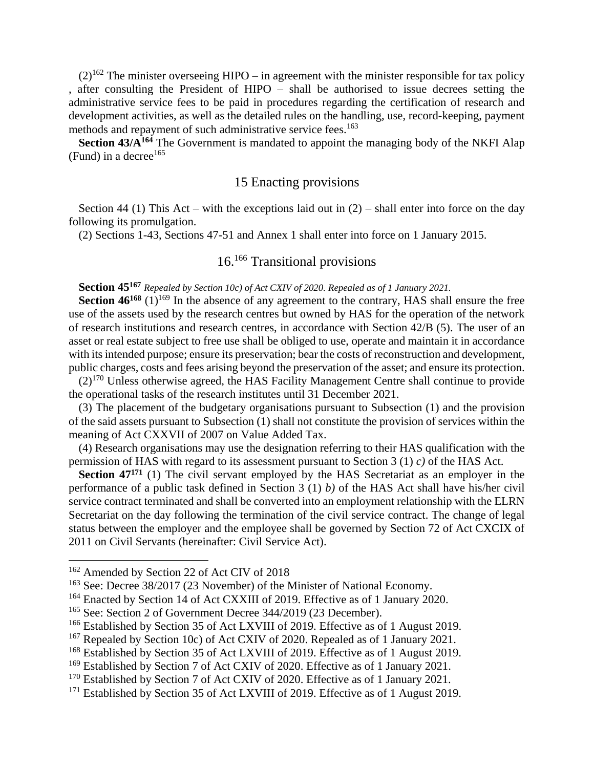$(2)^{162}$  The minister overseeing HIPO – in agreement with the minister responsible for tax policy , after consulting the President of HIPO – shall be authorised to issue decrees setting the administrative service fees to be paid in procedures regarding the certification of research and development activities, as well as the detailed rules on the handling, use, record-keeping, payment methods and repayment of such administrative service fees.<sup>163</sup>

**Section 43/A<sup>164</sup>** The Government is mandated to appoint the managing body of the NKFI Alap (Fund) in a decree<sup>165</sup>

#### 15 Enacting provisions

Section 44 (1) This Act – with the exceptions laid out in  $(2)$  – shall enter into force on the day following its promulgation.

(2) Sections 1-43, Sections 47-51 and Annex 1 shall enter into force on 1 January 2015.

# 16.<sup>166</sup> Transitional provisions

**Section 45<sup>167</sup>** *Repealed by Section 10c) of Act CXIV of 2020. Repealed as of 1 January 2021.*

**Section 46<sup>168</sup>** (1)<sup>169</sup> In the absence of any agreement to the contrary, HAS shall ensure the free use of the assets used by the research centres but owned by HAS for the operation of the network of research institutions and research centres, in accordance with Section 42/B (5). The user of an asset or real estate subject to free use shall be obliged to use, operate and maintain it in accordance with its intended purpose; ensure its preservation; bear the costs of reconstruction and development, public charges, costs and fees arising beyond the preservation of the asset; and ensure its protection.

 $(2)^{170}$  Unless otherwise agreed, the HAS Facility Management Centre shall continue to provide the operational tasks of the research institutes until 31 December 2021.

(3) The placement of the budgetary organisations pursuant to Subsection (1) and the provision of the said assets pursuant to Subsection (1) shall not constitute the provision of services within the meaning of Act CXXVII of 2007 on Value Added Tax.

(4) Research organisations may use the designation referring to their HAS qualification with the permission of HAS with regard to its assessment pursuant to Section 3 (1) *c)* of the HAS Act.

**Section 47<sup>171</sup>** (1) The civil servant employed by the HAS Secretariat as an employer in the performance of a public task defined in Section 3 (1) *b)* of the HAS Act shall have his/her civil service contract terminated and shall be converted into an employment relationship with the ELRN Secretariat on the day following the termination of the civil service contract. The change of legal status between the employer and the employee shall be governed by Section 72 of Act CXCIX of 2011 on Civil Servants (hereinafter: Civil Service Act).

<sup>&</sup>lt;sup>162</sup> Amended by Section 22 of Act CIV of 2018

<sup>&</sup>lt;sup>163</sup> See: Decree 38/2017 (23 November) of the Minister of National Economy.

<sup>&</sup>lt;sup>164</sup> Enacted by Section 14 of Act CXXIII of 2019. Effective as of 1 January 2020.

<sup>&</sup>lt;sup>165</sup> See: Section 2 of Government Decree 344/2019 (23 December).

<sup>&</sup>lt;sup>166</sup> Established by Section 35 of Act LXVIII of 2019. Effective as of 1 August 2019.

<sup>&</sup>lt;sup>167</sup> Repealed by Section 10c) of Act CXIV of 2020. Repealed as of 1 January 2021.

<sup>&</sup>lt;sup>168</sup> Established by Section 35 of Act LXVIII of 2019. Effective as of 1 August 2019.

<sup>&</sup>lt;sup>169</sup> Established by Section 7 of Act CXIV of 2020. Effective as of 1 January 2021.

<sup>&</sup>lt;sup>170</sup> Established by Section 7 of Act CXIV of 2020. Effective as of 1 January 2021.

<sup>&</sup>lt;sup>171</sup> Established by Section 35 of Act LXVIII of 2019. Effective as of 1 August 2019.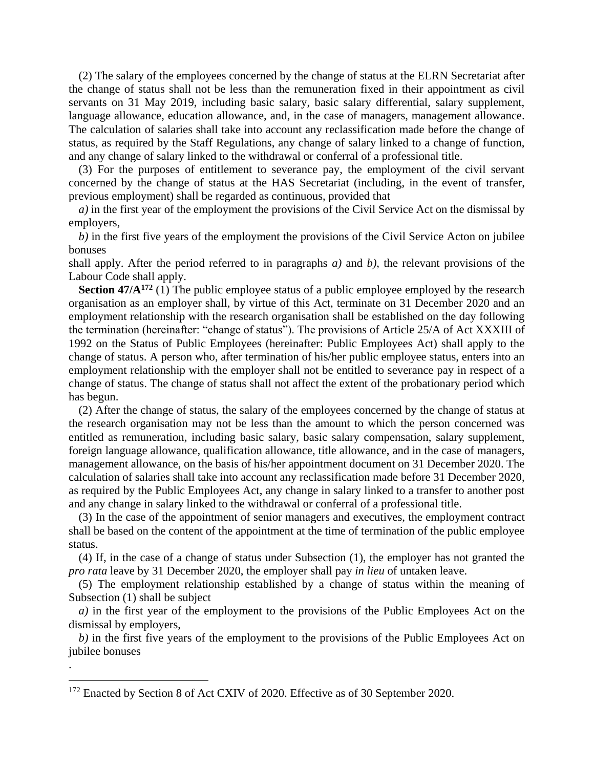(2) The salary of the employees concerned by the change of status at the ELRN Secretariat after the change of status shall not be less than the remuneration fixed in their appointment as civil servants on 31 May 2019, including basic salary, basic salary differential, salary supplement, language allowance, education allowance, and, in the case of managers, management allowance. The calculation of salaries shall take into account any reclassification made before the change of status, as required by the Staff Regulations, any change of salary linked to a change of function, and any change of salary linked to the withdrawal or conferral of a professional title.

(3) For the purposes of entitlement to severance pay, the employment of the civil servant concerned by the change of status at the HAS Secretariat (including, in the event of transfer, previous employment) shall be regarded as continuous, provided that

*a)* in the first year of the employment the provisions of the Civil Service Act on the dismissal by employers,

*b)* in the first five years of the employment the provisions of the Civil Service Acton on jubilee bonuses

shall apply. After the period referred to in paragraphs *a)* and *b)*, the relevant provisions of the Labour Code shall apply.

**Section 47/A<sup>172</sup>** (1) The public employee status of a public employee employed by the research organisation as an employer shall, by virtue of this Act, terminate on 31 December 2020 and an employment relationship with the research organisation shall be established on the day following the termination (hereinafter: "change of status"). The provisions of Article 25/A of Act XXXIII of 1992 on the Status of Public Employees (hereinafter: Public Employees Act) shall apply to the change of status. A person who, after termination of his/her public employee status, enters into an employment relationship with the employer shall not be entitled to severance pay in respect of a change of status. The change of status shall not affect the extent of the probationary period which has begun.

(2) After the change of status, the salary of the employees concerned by the change of status at the research organisation may not be less than the amount to which the person concerned was entitled as remuneration, including basic salary, basic salary compensation, salary supplement, foreign language allowance, qualification allowance, title allowance, and in the case of managers, management allowance, on the basis of his/her appointment document on 31 December 2020. The calculation of salaries shall take into account any reclassification made before 31 December 2020, as required by the Public Employees Act, any change in salary linked to a transfer to another post and any change in salary linked to the withdrawal or conferral of a professional title.

(3) In the case of the appointment of senior managers and executives, the employment contract shall be based on the content of the appointment at the time of termination of the public employee status.

(4) If, in the case of a change of status under Subsection (1), the employer has not granted the *pro rata* leave by 31 December 2020, the employer shall pay *in lieu* of untaken leave.

(5) The employment relationship established by a change of status within the meaning of Subsection (1) shall be subject

*a)* in the first year of the employment to the provisions of the Public Employees Act on the dismissal by employers,

*b)* in the first five years of the employment to the provisions of the Public Employees Act on jubilee bonuses

<sup>&</sup>lt;sup>172</sup> Enacted by Section 8 of Act CXIV of 2020. Effective as of 30 September 2020.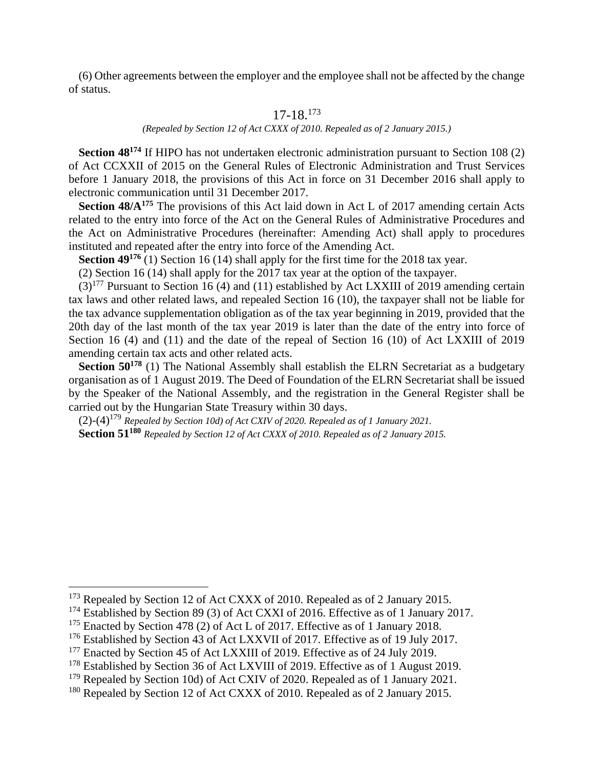(6) Other agreements between the employer and the employee shall not be affected by the change of status.

## 17-18.<sup>173</sup>

*(Repealed by Section 12 of Act CXXX of 2010. Repealed as of 2 January 2015.)*

**Section 48<sup>174</sup>** If HIPO has not undertaken electronic administration pursuant to Section 108 (2) of Act CCXXII of 2015 on the General Rules of Electronic Administration and Trust Services before 1 January 2018, the provisions of this Act in force on 31 December 2016 shall apply to electronic communication until 31 December 2017.

**Section 48/A<sup>175</sup>** The provisions of this Act laid down in Act L of 2017 amending certain Acts related to the entry into force of the Act on the General Rules of Administrative Procedures and the Act on Administrative Procedures (hereinafter: Amending Act) shall apply to procedures instituted and repeated after the entry into force of the Amending Act.

**Section 49<sup>176</sup>** (1) Section 16 (14) shall apply for the first time for the 2018 tax year.

(2) Section 16 (14) shall apply for the 2017 tax year at the option of the taxpayer.

 $(3)^{177}$  Pursuant to Section 16 (4) and (11) established by Act LXXIII of 2019 amending certain tax laws and other related laws, and repealed Section 16 (10), the taxpayer shall not be liable for the tax advance supplementation obligation as of the tax year beginning in 2019, provided that the 20th day of the last month of the tax year 2019 is later than the date of the entry into force of Section 16 (4) and (11) and the date of the repeal of Section 16 (10) of Act LXXIII of 2019 amending certain tax acts and other related acts.

**Section 50<sup>178</sup>** (1) The National Assembly shall establish the ELRN Secretariat as a budgetary organisation as of 1 August 2019. The Deed of Foundation of the ELRN Secretariat shall be issued by the Speaker of the National Assembly, and the registration in the General Register shall be carried out by the Hungarian State Treasury within 30 days.

(2)-(4)<sup>179</sup> *Repealed by Section 10d) of Act CXIV of 2020. Repealed as of 1 January 2021.* **Section 51<sup>180</sup>** *Repealed by Section 12 of Act CXXX of 2010. Repealed as of 2 January 2015.*

<sup>&</sup>lt;sup>173</sup> Repealed by Section 12 of Act CXXX of 2010. Repealed as of 2 January 2015.

<sup>&</sup>lt;sup>174</sup> Established by Section 89 (3) of Act CXXI of 2016. Effective as of 1 January 2017.

 $175$  Enacted by Section 478 (2) of Act L of 2017. Effective as of 1 January 2018.

<sup>&</sup>lt;sup>176</sup> Established by Section 43 of Act LXXVII of 2017. Effective as of 19 July 2017.

<sup>&</sup>lt;sup>177</sup> Enacted by Section 45 of Act LXXIII of 2019. Effective as of 24 July 2019.

<sup>&</sup>lt;sup>178</sup> Established by Section 36 of Act LXVIII of 2019. Effective as of 1 August 2019.

 $179$  Repealed by Section 10d) of Act CXIV of 2020. Repealed as of 1 January 2021.

 $180$  Repealed by Section 12 of Act CXXX of 2010. Repealed as of 2 January 2015.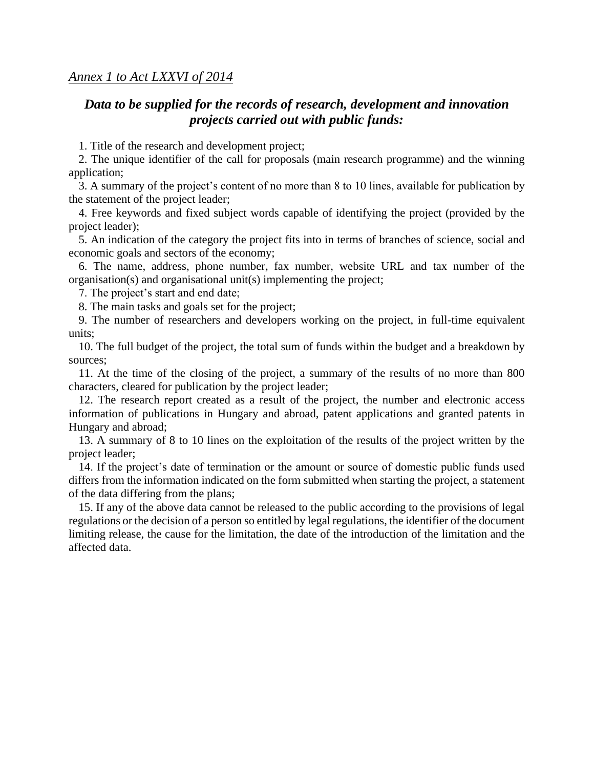# *Data to be supplied for the records of research, development and innovation projects carried out with public funds:*

1. Title of the research and development project;

2. The unique identifier of the call for proposals (main research programme) and the winning application;

3. A summary of the project's content of no more than 8 to 10 lines, available for publication by the statement of the project leader;

4. Free keywords and fixed subject words capable of identifying the project (provided by the project leader);

5. An indication of the category the project fits into in terms of branches of science, social and economic goals and sectors of the economy;

6. The name, address, phone number, fax number, website URL and tax number of the organisation(s) and organisational unit(s) implementing the project;

7. The project's start and end date;

8. The main tasks and goals set for the project;

9. The number of researchers and developers working on the project, in full-time equivalent units;

10. The full budget of the project, the total sum of funds within the budget and a breakdown by sources;

11. At the time of the closing of the project, a summary of the results of no more than 800 characters, cleared for publication by the project leader;

12. The research report created as a result of the project, the number and electronic access information of publications in Hungary and abroad, patent applications and granted patents in Hungary and abroad;

13. A summary of 8 to 10 lines on the exploitation of the results of the project written by the project leader;

14. If the project's date of termination or the amount or source of domestic public funds used differs from the information indicated on the form submitted when starting the project, a statement of the data differing from the plans;

15. If any of the above data cannot be released to the public according to the provisions of legal regulations or the decision of a person so entitled by legal regulations, the identifier of the document limiting release, the cause for the limitation, the date of the introduction of the limitation and the affected data.